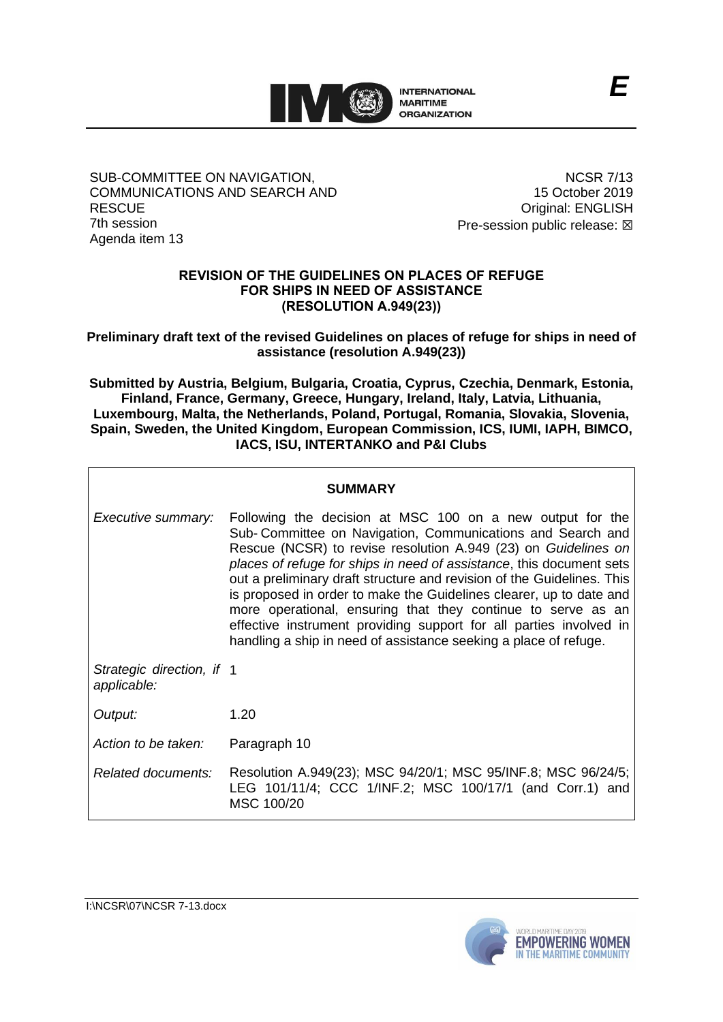

### SUB-COMMITTEE ON NAVIGATION, COMMUNICATIONS AND SEARCH AND **RESCUE** 7th session Agenda item 13

NCSR 7/13 15 October 2019 Original: ENGLISH Pre-session public release:  $\boxtimes$ 

*E*

## **REVISION OF THE GUIDELINES ON PLACES OF REFUGE FOR SHIPS IN NEED OF ASSISTANCE (RESOLUTION A.949(23))**

**Preliminary draft text of the revised Guidelines on places of refuge for ships in need of assistance (resolution A.949(23))**

**Submitted by Austria, Belgium, Bulgaria, Croatia, Cyprus, Czechia, Denmark, Estonia, Finland, France, Germany, Greece, Hungary, Ireland, Italy, Latvia, Lithuania, Luxembourg, Malta, the Netherlands, Poland, Portugal, Romania, Slovakia, Slovenia, Spain, Sweden, the United Kingdom, European Commission, ICS, IUMI, IAPH, BIMCO, IACS, ISU, INTERTANKO and P&I Clubs**

## **SUMMARY**

*Executive summary:* Following the decision at MSC 100 on a new output for the Sub- Committee on Navigation, Communications and Search and Rescue (NCSR) to revise resolution A.949 (23) on *Guidelines on places of refuge for ships in need of assistance*, this document sets out a preliminary draft structure and revision of the Guidelines. This is proposed in order to make the Guidelines clearer, up to date and more operational, ensuring that they continue to serve as an effective instrument providing support for all parties involved in handling a ship in need of assistance seeking a place of refuge. *Strategic direction, if*  1 *applicable: Output:* 1.20 *Action to be taken:* Paragraph 10 *Related documents:* Resolution A.949(23); MSC 94/20/1; MSC 95/INF.8; MSC 96/24/5; LEG 101/11/4; CCC 1/INF.2; MSC 100/17/1 (and Corr.1) and MSC 100/20



I:\NCSR\07\NCSR 7-13.docx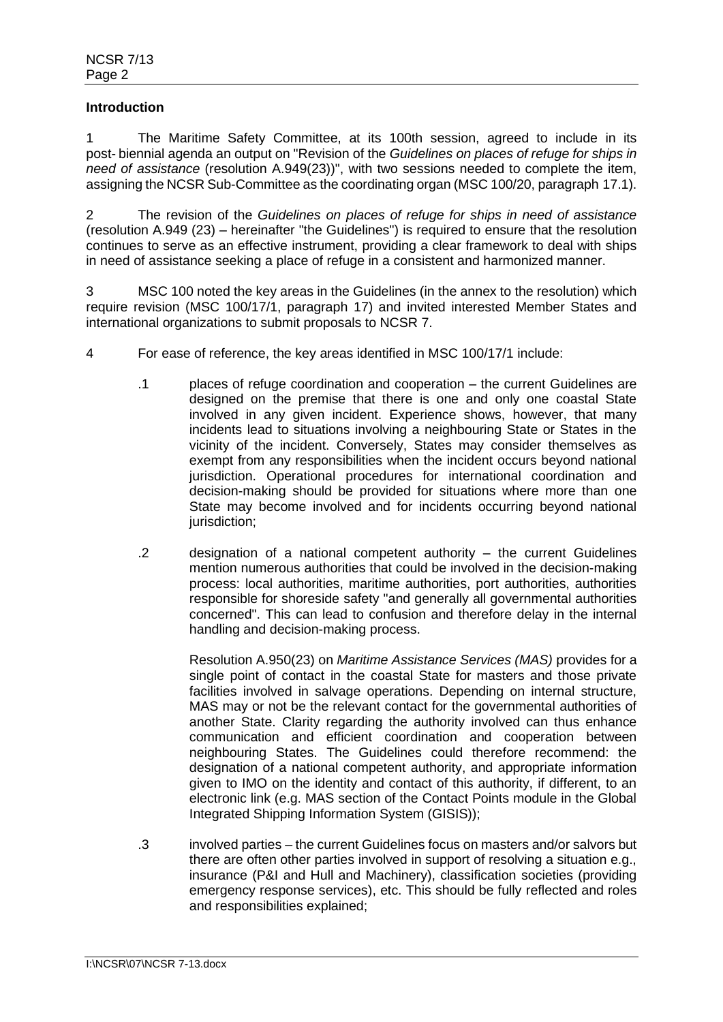### **Introduction**

1 The Maritime Safety Committee, at its 100th session, agreed to include in its post- biennial agenda an output on "Revision of the *Guidelines on places of refuge for ships in need of assistance* (resolution A.949(23))", with two sessions needed to complete the item, assigning the NCSR Sub-Committee as the coordinating organ (MSC 100/20, paragraph 17.1).

2 The revision of the *Guidelines on places of refuge for ships in need of assistance* (resolution A.949 (23) – hereinafter "the Guidelines") is required to ensure that the resolution continues to serve as an effective instrument, providing a clear framework to deal with ships in need of assistance seeking a place of refuge in a consistent and harmonized manner.

3 MSC 100 noted the key areas in the Guidelines (in the annex to the resolution) which require revision (MSC 100/17/1, paragraph 17) and invited interested Member States and international organizations to submit proposals to NCSR 7.

- 4 For ease of reference, the key areas identified in MSC 100/17/1 include:
	- .1 places of refuge coordination and cooperation the current Guidelines are designed on the premise that there is one and only one coastal State involved in any given incident. Experience shows, however, that many incidents lead to situations involving a neighbouring State or States in the vicinity of the incident. Conversely, States may consider themselves as exempt from any responsibilities when the incident occurs beyond national jurisdiction. Operational procedures for international coordination and decision-making should be provided for situations where more than one State may become involved and for incidents occurring beyond national jurisdiction;
	- .2 designation of a national competent authority the current Guidelines mention numerous authorities that could be involved in the decision-making process: local authorities, maritime authorities, port authorities, authorities responsible for shoreside safety "and generally all governmental authorities concerned". This can lead to confusion and therefore delay in the internal handling and decision-making process.

Resolution A.950(23) on *Maritime Assistance Services (MAS)* provides for a single point of contact in the coastal State for masters and those private facilities involved in salvage operations. Depending on internal structure, MAS may or not be the relevant contact for the governmental authorities of another State. Clarity regarding the authority involved can thus enhance communication and efficient coordination and cooperation between neighbouring States. The Guidelines could therefore recommend: the designation of a national competent authority, and appropriate information given to IMO on the identity and contact of this authority, if different, to an electronic link (e.g. MAS section of the Contact Points module in the Global Integrated Shipping Information System (GISIS));

.3 involved parties – the current Guidelines focus on masters and/or salvors but there are often other parties involved in support of resolving a situation e.g., insurance (P&I and Hull and Machinery), classification societies (providing emergency response services), etc. This should be fully reflected and roles and responsibilities explained;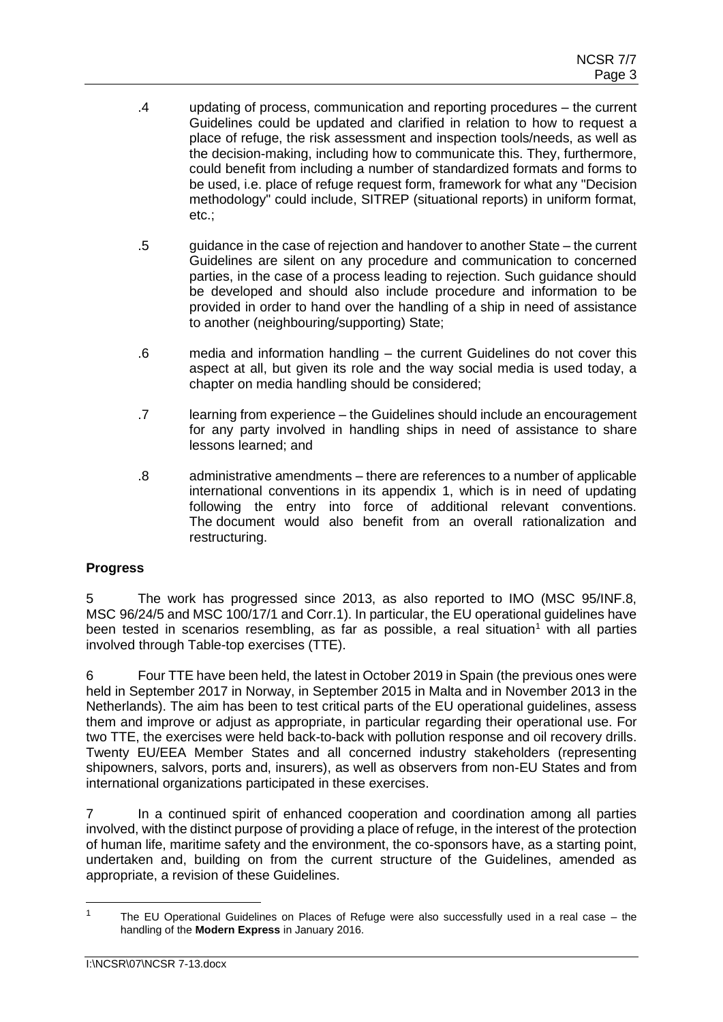- .4 updating of process, communication and reporting procedures the current Guidelines could be updated and clarified in relation to how to request a place of refuge, the risk assessment and inspection tools/needs, as well as the decision-making, including how to communicate this. They, furthermore, could benefit from including a number of standardized formats and forms to be used, i.e. place of refuge request form, framework for what any "Decision methodology" could include, SITREP (situational reports) in uniform format, etc.;
- .5 guidance in the case of rejection and handover to another State the current Guidelines are silent on any procedure and communication to concerned parties, in the case of a process leading to rejection. Such guidance should be developed and should also include procedure and information to be provided in order to hand over the handling of a ship in need of assistance to another (neighbouring/supporting) State;
- .6 media and information handling the current Guidelines do not cover this aspect at all, but given its role and the way social media is used today, a chapter on media handling should be considered;
- .7 learning from experience the Guidelines should include an encouragement for any party involved in handling ships in need of assistance to share lessons learned; and
- .8 administrative amendments there are references to a number of applicable international conventions in its appendix 1, which is in need of updating following the entry into force of additional relevant conventions. The document would also benefit from an overall rationalization and restructuring.

# **Progress**

5 The work has progressed since 2013, as also reported to IMO (MSC 95/INF.8, MSC 96/24/5 and MSC 100/17/1 and Corr.1). In particular, the EU operational guidelines have been tested in scenarios resembling, as far as possible, a real situation<sup>1</sup> with all parties involved through Table-top exercises (TTE).

6 Four TTE have been held, the latest in October 2019 in Spain (the previous ones were held in September 2017 in Norway, in September 2015 in Malta and in November 2013 in the Netherlands). The aim has been to test critical parts of the EU operational guidelines, assess them and improve or adjust as appropriate, in particular regarding their operational use. For two TTE, the exercises were held back-to-back with pollution response and oil recovery drills. Twenty EU/EEA Member States and all concerned industry stakeholders (representing shipowners, salvors, ports and, insurers), as well as observers from non-EU States and from international organizations participated in these exercises.

7 In a continued spirit of enhanced cooperation and coordination among all parties involved, with the distinct purpose of providing a place of refuge, in the interest of the protection of human life, maritime safety and the environment, the co-sponsors have, as a starting point, undertaken and, building on from the current structure of the Guidelines, amended as appropriate, a revision of these Guidelines.

<sup>&</sup>lt;sup>1</sup> The EU Operational Guidelines on Places of Refuge were also successfully used in a real case – the handling of the **Modern Express** in January 2016.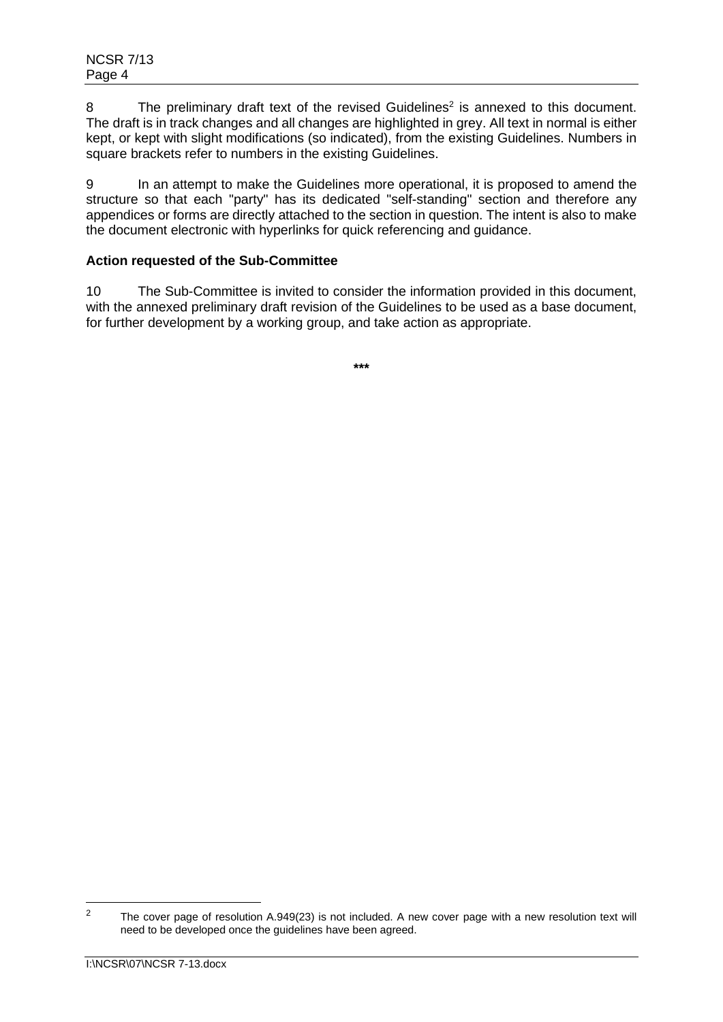8 The preliminary draft text of the revised Guidelines<sup>2</sup> is annexed to this document. The draft is in track changes and all changes are highlighted in grey. All text in normal is either kept, or kept with slight modifications (so indicated), from the existing Guidelines. Numbers in square brackets refer to numbers in the existing Guidelines.

9 In an attempt to make the Guidelines more operational, it is proposed to amend the structure so that each "party" has its dedicated "self-standing" section and therefore any appendices or forms are directly attached to the section in question. The intent is also to make the document electronic with hyperlinks for quick referencing and guidance.

## **Action requested of the Sub-Committee**

10 The Sub-Committee is invited to consider the information provided in this document, with the annexed preliminary draft revision of the Guidelines to be used as a base document, for further development by a working group, and take action as appropriate.

**\*\*\***

<sup>&</sup>lt;sup>2</sup> The cover page of resolution A.949(23) is not included. A new cover page with a new resolution text will need to be developed once the guidelines have been agreed.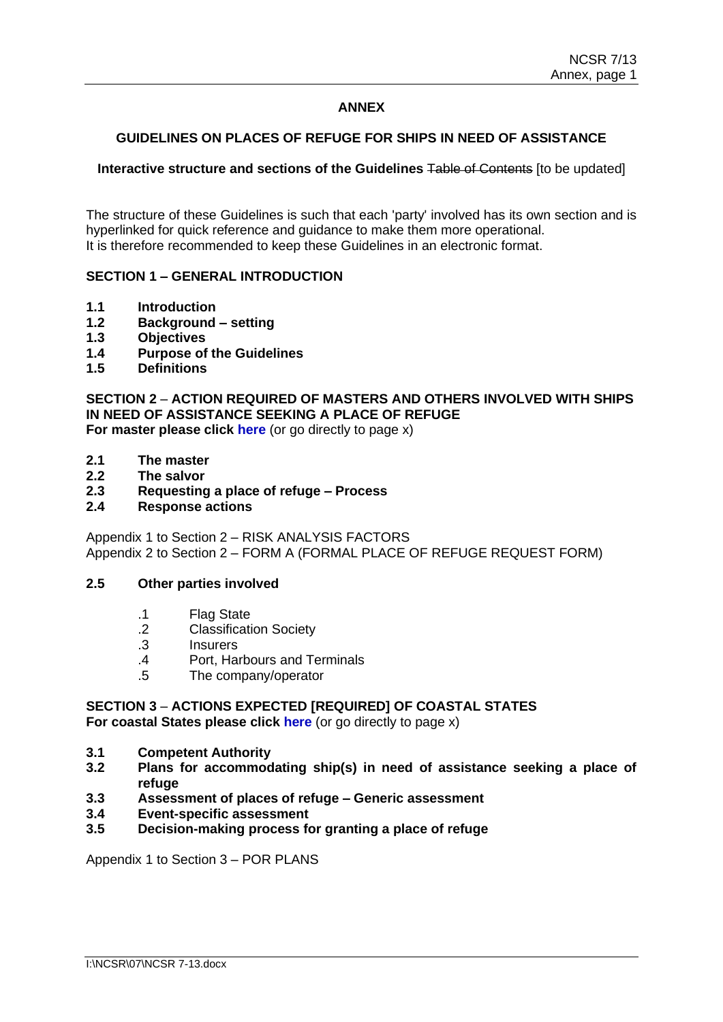## **ANNEX**

### **GUIDELINES ON PLACES OF REFUGE FOR SHIPS IN NEED OF ASSISTANCE**

### **Interactive structure and sections of the Guidelines** Table of Contents [to be updated]

The structure of these Guidelines is such that each 'party' involved has its own section and is hyperlinked for quick reference and guidance to make them more operational. It is therefore recommended to keep these Guidelines in an electronic format.

### **SECTION 1 – GENERAL INTRODUCTION**

- **1.1 Introduction**
- **1.2 Background – setting**
- **1.3 Objectives**
- **1.4 Purpose of the Guidelines**
- **1.5 Definitions**

# **SECTION 2** – **ACTION REQUIRED OF MASTERS AND OTHERS INVOLVED WITH SHIPS IN NEED OF ASSISTANCE SEEKING A PLACE OF REFUGE**

**For master please click here** (or go directly to page x)

- **2.1 The master**
- **2.2 The salvor**
- **2.3 Requesting a place of refuge – Process**
- **2.4 Response actions**

Appendix 1 to Section 2 – RISK ANALYSIS FACTORS Appendix 2 to Section 2 – FORM A (FORMAL PLACE OF REFUGE REQUEST FORM)

### **2.5 Other parties involved**

- .1 Flag State
- .2 Classification Society
- .3 Insurers
- .4 Port, Harbours and Terminals
- .5 The company/operator

# **SECTION 3** – **ACTIONS EXPECTED [REQUIRED] OF COASTAL STATES**

**For coastal States please click here** (or go directly to page x)

- **3.1 Competent Authority**
- **3.2 Plans for accommodating ship(s) in need of assistance seeking a place of refuge**
- **3.3 Assessment of places of refuge – Generic assessment**
- **3.4 Event-specific assessment**
- **3.5 Decision-making process for granting a place of refuge**

Appendix 1 to Section 3 – POR PLANS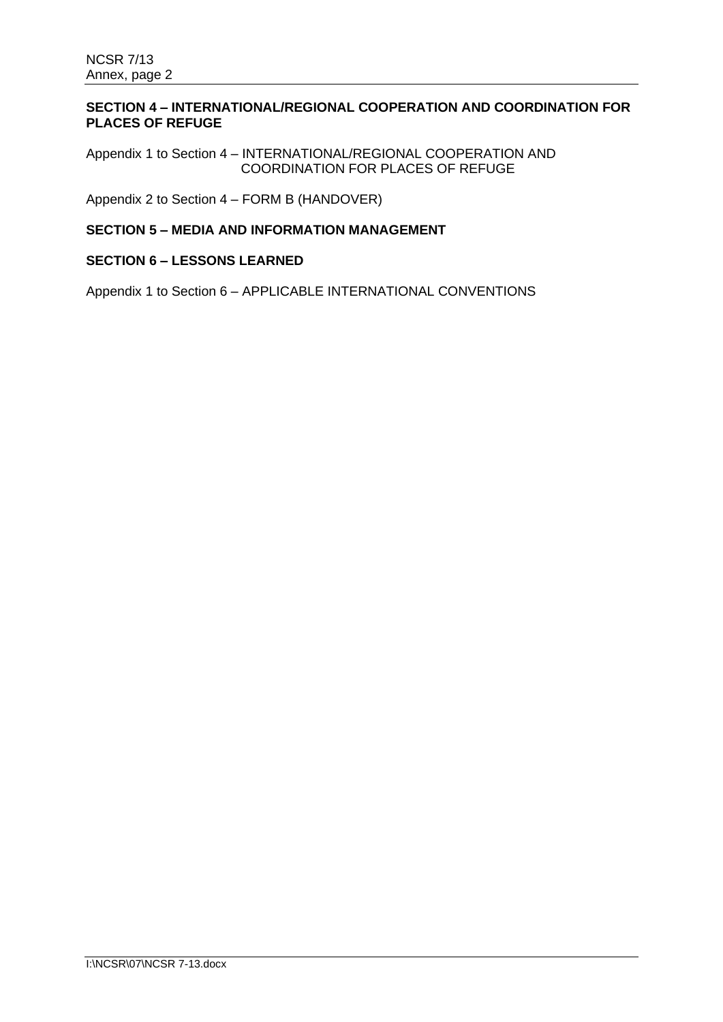## **SECTION 4 – INTERNATIONAL/REGIONAL COOPERATION AND COORDINATION FOR PLACES OF REFUGE**

Appendix 1 to Section 4 – INTERNATIONAL/REGIONAL COOPERATION AND COORDINATION FOR PLACES OF REFUGE

Appendix 2 to Section 4 – FORM B (HANDOVER)

## **SECTION 5 – MEDIA AND INFORMATION MANAGEMENT**

# **SECTION 6 – LESSONS LEARNED**

Appendix 1 to Section 6 – APPLICABLE INTERNATIONAL CONVENTIONS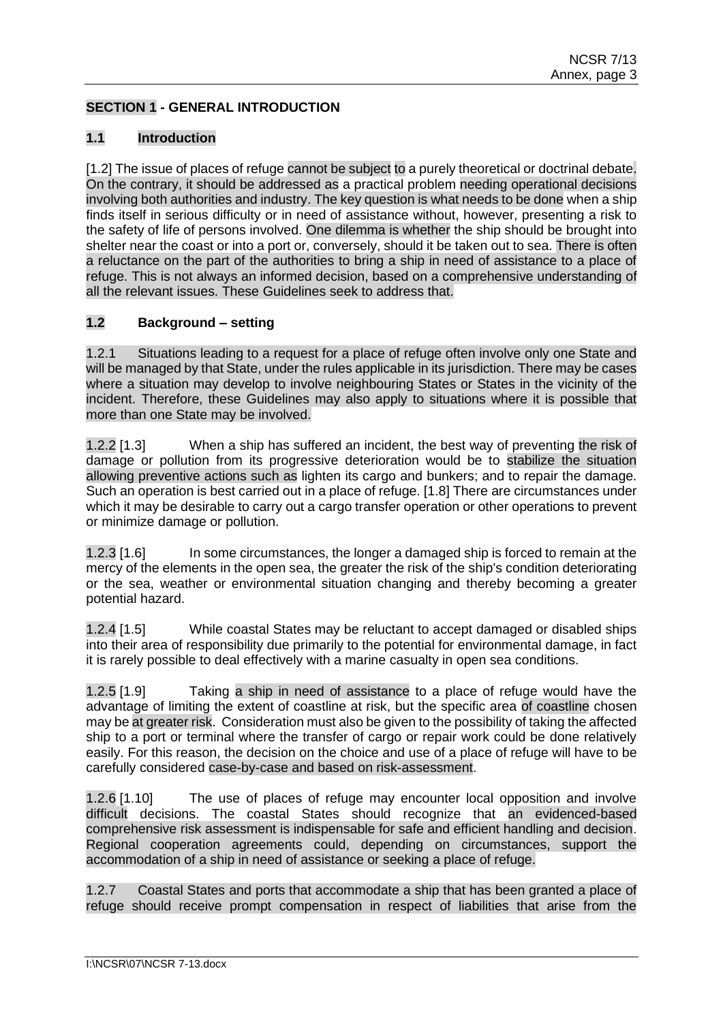## **SECTION 1 - GENERAL INTRODUCTION**

## **1.1 Introduction**

[1.2] The issue of places of refuge cannot be subject to a purely theoretical or doctrinal debate. On the contrary, it should be addressed as a practical problem needing operational decisions involving both authorities and industry. The key question is what needs to be done when a ship finds itself in serious difficulty or in need of assistance without, however, presenting a risk to the safety of life of persons involved. One dilemma is whether the ship should be brought into shelter near the coast or into a port or, conversely, should it be taken out to sea. There is often a reluctance on the part of the authorities to bring a ship in need of assistance to a place of refuge. This is not always an informed decision, based on a comprehensive understanding of all the relevant issues. These Guidelines seek to address that.

## **1.2 Background – setting**

1.2.1 Situations leading to a request for a place of refuge often involve only one State and will be managed by that State, under the rules applicable in its jurisdiction. There may be cases where a situation may develop to involve neighbouring States or States in the vicinity of the incident. Therefore, these Guidelines may also apply to situations where it is possible that more than one State may be involved.

1.2.2 [1.3] When a ship has suffered an incident, the best way of preventing the risk of damage or pollution from its progressive deterioration would be to stabilize the situation allowing preventive actions such as lighten its cargo and bunkers; and to repair the damage. Such an operation is best carried out in a place of refuge. [1.8] There are circumstances under which it may be desirable to carry out a cargo transfer operation or other operations to prevent or minimize damage or pollution.

1.2.3 [1.6] In some circumstances, the longer a damaged ship is forced to remain at the mercy of the elements in the open sea, the greater the risk of the ship's condition deteriorating or the sea, weather or environmental situation changing and thereby becoming a greater potential hazard.

1.2.4 [1.5] While coastal States may be reluctant to accept damaged or disabled ships into their area of responsibility due primarily to the potential for environmental damage, in fact it is rarely possible to deal effectively with a marine casualty in open sea conditions.

1.2.5 [1.9] Taking a ship in need of assistance to a place of refuge would have the advantage of limiting the extent of coastline at risk, but the specific area of coastline chosen may be at greater risk. Consideration must also be given to the possibility of taking the affected ship to a port or terminal where the transfer of cargo or repair work could be done relatively easily. For this reason, the decision on the choice and use of a place of refuge will have to be carefully considered case-by-case and based on risk-assessment.

1.2.6 [1.10] The use of places of refuge may encounter local opposition and involve difficult decisions. The coastal States should recognize that an evidenced-based comprehensive risk assessment is indispensable for safe and efficient handling and decision. Regional cooperation agreements could, depending on circumstances, support the accommodation of a ship in need of assistance or seeking a place of refuge.

1.2.7 Coastal States and ports that accommodate a ship that has been granted a place of refuge should receive prompt compensation in respect of liabilities that arise from the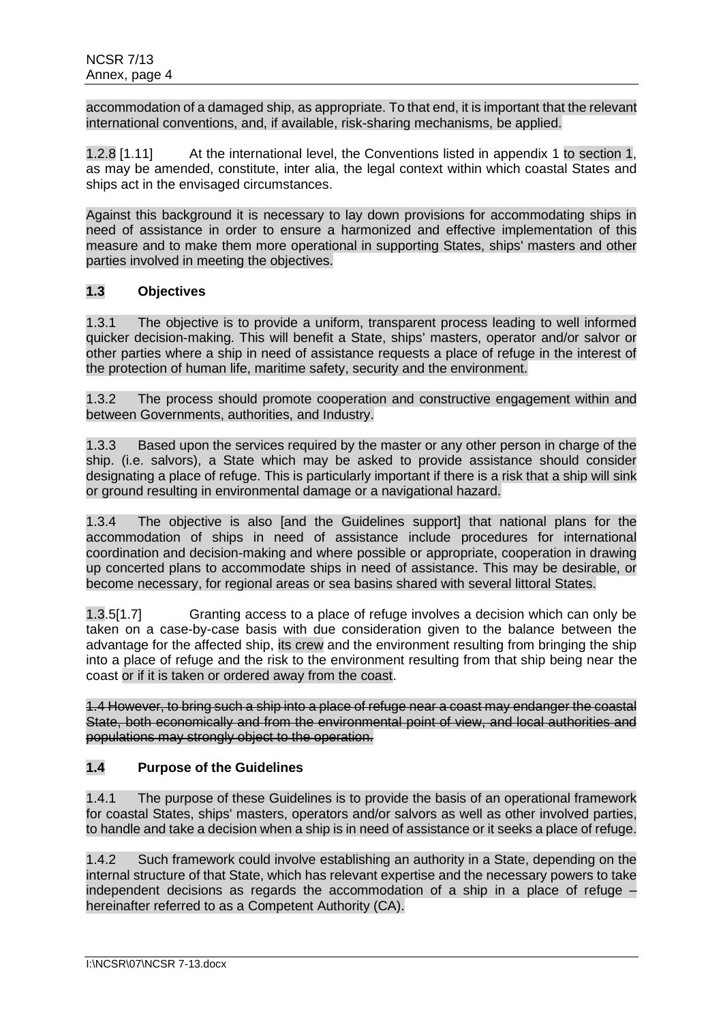accommodation of a damaged ship, as appropriate. To that end, it is important that the relevant international conventions, and, if available, risk-sharing mechanisms, be applied.

1.2.8 [1.11] At the international level, the Conventions listed in appendix 1 to section 1, as may be amended, constitute, inter alia, the legal context within which coastal States and ships act in the envisaged circumstances.

Against this background it is necessary to lay down provisions for accommodating ships in need of assistance in order to ensure a harmonized and effective implementation of this measure and to make them more operational in supporting States, ships' masters and other parties involved in meeting the objectives.

## **1.3 Objectives**

1.3.1 The objective is to provide a uniform, transparent process leading to well informed quicker decision-making. This will benefit a State, ships' masters, operator and/or salvor or other parties where a ship in need of assistance requests a place of refuge in the interest of the protection of human life, maritime safety, security and the environment.

1.3.2 The process should promote cooperation and constructive engagement within and between Governments, authorities, and Industry.

1.3.3 Based upon the services required by the master or any other person in charge of the ship. (i.e. salvors), a State which may be asked to provide assistance should consider designating a place of refuge. This is particularly important if there is a risk that a ship will sink or ground resulting in environmental damage or a navigational hazard.

1.3.4 The objective is also [and the Guidelines support] that national plans for the accommodation of ships in need of assistance include procedures for international coordination and decision-making and where possible or appropriate, cooperation in drawing up concerted plans to accommodate ships in need of assistance. This may be desirable, or become necessary, for regional areas or sea basins shared with several littoral States.

1.3.5[1.7] Granting access to a place of refuge involves a decision which can only be taken on a case-by-case basis with due consideration given to the balance between the advantage for the affected ship, its crew and the environment resulting from bringing the ship into a place of refuge and the risk to the environment resulting from that ship being near the coast or if it is taken or ordered away from the coast.

1.4 However, to bring such a ship into a place of refuge near a coast may endanger the coastal State, both economically and from the environmental point of view, and local authorities and populations may strongly object to the operation.

## **1.4 Purpose of the Guidelines**

1.4.1 The purpose of these Guidelines is to provide the basis of an operational framework for coastal States, ships' masters, operators and/or salvors as well as other involved parties, to handle and take a decision when a ship is in need of assistance or it seeks a place of refuge.

1.4.2 Such framework could involve establishing an authority in a State, depending on the internal structure of that State, which has relevant expertise and the necessary powers to take independent decisions as regards the accommodation of a ship in a place of refuge – hereinafter referred to as a Competent Authority (CA).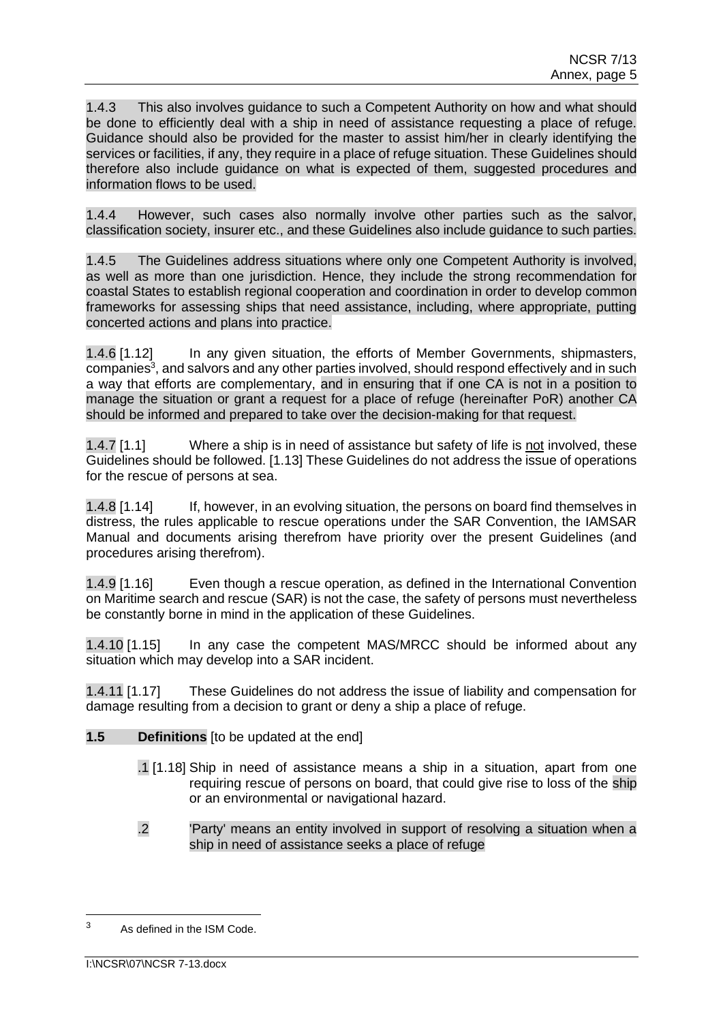1.4.3 This also involves guidance to such a Competent Authority on how and what should be done to efficiently deal with a ship in need of assistance requesting a place of refuge. Guidance should also be provided for the master to assist him/her in clearly identifying the services or facilities, if any, they require in a place of refuge situation. These Guidelines should therefore also include guidance on what is expected of them, suggested procedures and information flows to be used.

1.4.4 However, such cases also normally involve other parties such as the salvor, classification society, insurer etc., and these Guidelines also include guidance to such parties.

1.4.5 The Guidelines address situations where only one Competent Authority is involved, as well as more than one jurisdiction. Hence, they include the strong recommendation for coastal States to establish regional cooperation and coordination in order to develop common frameworks for assessing ships that need assistance, including, where appropriate, putting concerted actions and plans into practice.

1.4.6 [1.12] In any given situation, the efforts of Member Governments, shipmasters, companies<sup>3</sup>, and salvors and any other parties involved, should respond effectively and in such a way that efforts are complementary, and in ensuring that if one CA is not in a position to manage the situation or grant a request for a place of refuge (hereinafter PoR) another CA should be informed and prepared to take over the decision-making for that request.

1.4.7 [1.1] Where a ship is in need of assistance but safety of life is not involved, these Guidelines should be followed. [1.13] These Guidelines do not address the issue of operations for the rescue of persons at sea.

1.4.8 [1.14] If, however, in an evolving situation, the persons on board find themselves in distress, the rules applicable to rescue operations under the SAR Convention, the IAMSAR Manual and documents arising therefrom have priority over the present Guidelines (and procedures arising therefrom).

1.4.9 [1.16] Even though a rescue operation, as defined in the International Convention on Maritime search and rescue (SAR) is not the case, the safety of persons must nevertheless be constantly borne in mind in the application of these Guidelines.

1.4.10 [1.15] In any case the competent MAS/MRCC should be informed about any situation which may develop into a SAR incident.

1.4.11 [1.17] These Guidelines do not address the issue of liability and compensation for damage resulting from a decision to grant or deny a ship a place of refuge.

- **1.5 Definitions** [to be updated at the end]
	- .1 [1.18] Ship in need of assistance means a ship in a situation, apart from one requiring rescue of persons on board, that could give rise to loss of the ship or an environmental or navigational hazard.
	- .2 'Party' means an entity involved in support of resolving a situation when a ship in need of assistance seeks a place of refuge

<sup>3</sup> As defined in the ISM Code.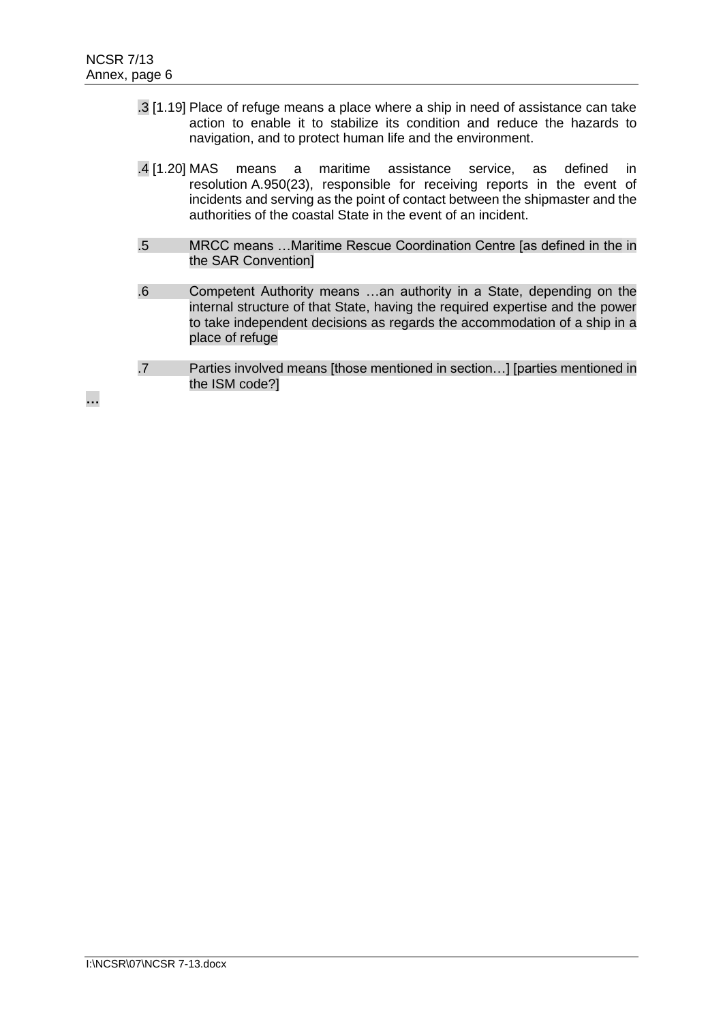- .3 [1.19] Place of refuge means a place where a ship in need of assistance can take action to enable it to stabilize its condition and reduce the hazards to navigation, and to protect human life and the environment.
- .4 [1.20] MAS means a maritime assistance service, as defined in resolution A.950(23), responsible for receiving reports in the event of incidents and serving as the point of contact between the shipmaster and the authorities of the coastal State in the event of an incident.
- .5 MRCC means …Maritime Rescue Coordination Centre [as defined in the in the SAR Convention]
- .6 Competent Authority means …an authority in a State, depending on the internal structure of that State, having the required expertise and the power to take independent decisions as regards the accommodation of a ship in a place of refuge
- .7 Parties involved means [those mentioned in section…] [parties mentioned in the ISM code?]

**…**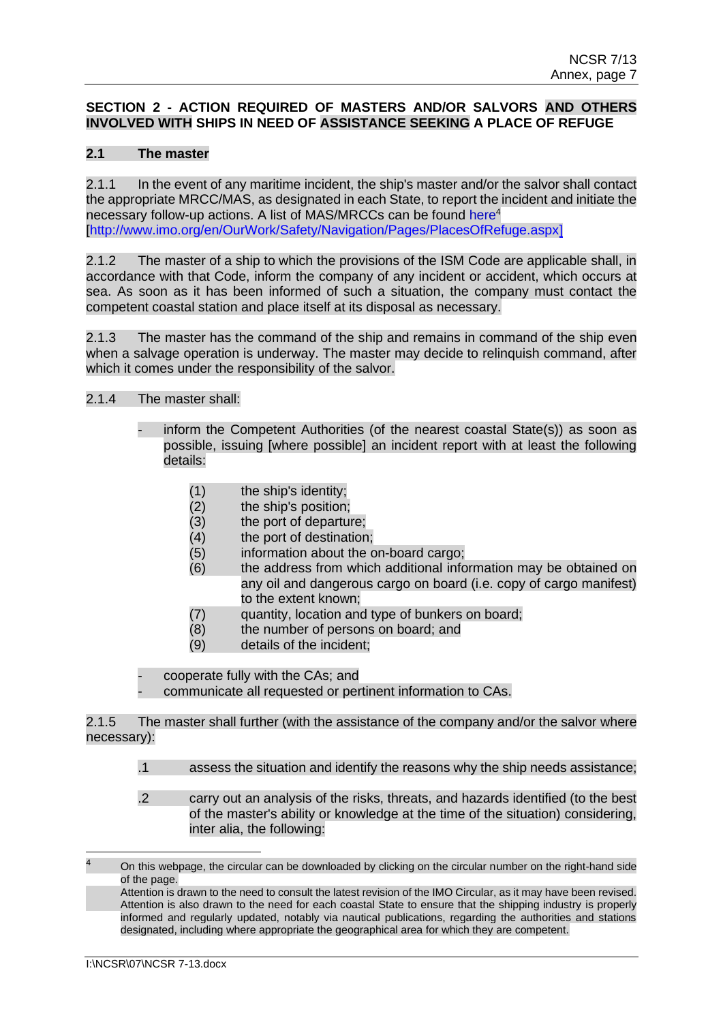## **SECTION 2 - ACTION REQUIRED OF MASTERS AND/OR SALVORS AND OTHERS INVOLVED WITH SHIPS IN NEED OF ASSISTANCE SEEKING A PLACE OF REFUGE**

## **2.1 The master**

2.1.1 In the event of any maritime incident, the ship's master and/or the salvor shall contact the appropriate MRCC/MAS, as designated in each State, to report the incident and initiate the necessary follow-up actions. A list of MAS/MRCCs can be found here<sup>4</sup> [\[http://www.imo.org/en/OurWork/Safety/Navigation/Pages/PlacesOfRefuge.aspx\]](http://www.imo.org/en/OurWork/Safety/Navigation/Pages/PlacesOfRefuge.aspx)

2.1.2 The master of a ship to which the provisions of the ISM Code are applicable shall, in accordance with that Code, inform the company of any incident or accident, which occurs at sea. As soon as it has been informed of such a situation, the company must contact the competent coastal station and place itself at its disposal as necessary.

2.1.3 The master has the command of the ship and remains in command of the ship even when a salvage operation is underway. The master may decide to relinquish command, after which it comes under the responsibility of the salvor.

## 2.1.4 The master shall:

- inform the Competent Authorities (of the nearest coastal State(s)) as soon as possible, issuing [where possible] an incident report with at least the following details:
	- (1) the ship's identity;
	- (2) the ship's position;
	- (3) the port of departure;
	- (4) the port of destination;
	- (5) information about the on-board cargo;
	- (6) the address from which additional information may be obtained on any oil and dangerous cargo on board (i.e. copy of cargo manifest) to the extent known;
	- (7) quantity, location and type of bunkers on board;
	- (8) the number of persons on board; and
	- (9) details of the incident;

cooperate fully with the CAs; and

communicate all requested or pertinent information to CAs.

2.1.5 The master shall further (with the assistance of the company and/or the salvor where necessary):

- .1 assess the situation and identify the reasons why the ship needs assistance;
- .2 carry out an analysis of the risks, threats, and hazards identified (to the best of the master's ability or knowledge at the time of the situation) considering, inter alia, the following:

On this webpage, the circular can be downloaded by clicking on the circular number on the right-hand side of the page.

Attention is drawn to the need to consult the latest revision of the IMO Circular, as it may have been revised. Attention is also drawn to the need for each coastal State to ensure that the shipping industry is properly informed and regularly updated, notably via nautical publications, regarding the authorities and stations designated, including where appropriate the geographical area for which they are competent.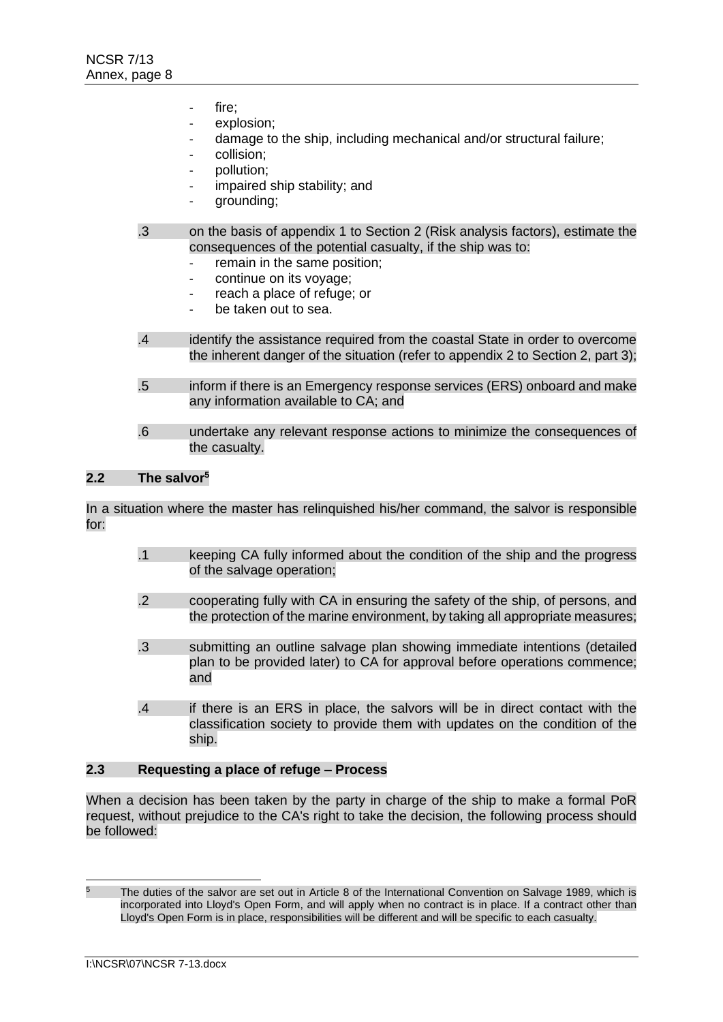- fire:
- explosion;
- damage to the ship, including mechanical and/or structural failure;
- collision:
- pollution;
- impaired ship stability; and
- grounding;
- .3 on the basis of appendix 1 to Section 2 (Risk analysis factors), estimate the consequences of the potential casualty, if the ship was to:
	- remain in the same position;
	- continue on its voyage;
	- reach a place of refuge; or
	- be taken out to sea.
- .4 identify the assistance required from the coastal State in order to overcome the inherent danger of the situation (refer to appendix 2 to Section 2, part 3);
- .5 inform if there is an Emergency response services (ERS) onboard and make any information available to CA; and
- .6 undertake any relevant response actions to minimize the consequences of the casualty.

#### **2.2 The salvor<sup>5</sup>**

In a situation where the master has relinquished his/her command, the salvor is responsible for:

- .1 keeping CA fully informed about the condition of the ship and the progress of the salvage operation;
- .2 cooperating fully with CA in ensuring the safety of the ship, of persons, and the protection of the marine environment, by taking all appropriate measures;
- .3 submitting an outline salvage plan showing immediate intentions (detailed plan to be provided later) to CA for approval before operations commence; and
- .4 if there is an ERS in place, the salvors will be in direct contact with the classification society to provide them with updates on the condition of the ship.

### **2.3 Requesting a place of refuge – Process**

When a decision has been taken by the party in charge of the ship to make a formal PoR request, without prejudice to the CA's right to take the decision, the following process should be followed:

The duties of the salvor are set out in Article 8 of the International Convention on Salvage 1989, which is incorporated into Lloyd's Open Form, and will apply when no contract is in place. If a contract other than Lloyd's Open Form is in place, responsibilities will be different and will be specific to each casualty.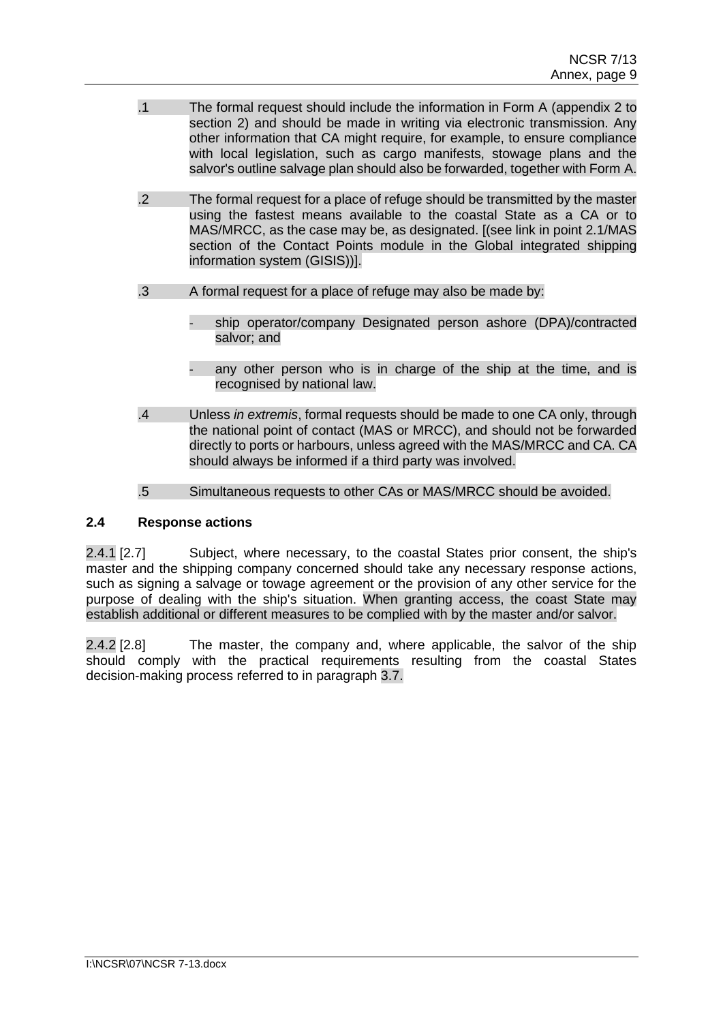- .1 The formal request should include the information in Form A (appendix 2 to section 2) and should be made in writing via electronic transmission. Any other information that CA might require, for example, to ensure compliance with local legislation, such as cargo manifests, stowage plans and the salvor's outline salvage plan should also be forwarded, together with Form A.
- .2 The formal request for a place of refuge should be transmitted by the master using the fastest means available to the coastal State as a CA or to MAS/MRCC, as the case may be, as designated. [(see link in point 2.1/MAS section of the Contact Points module in the Global integrated shipping information system (GISIS))].
- .3 A formal request for a place of refuge may also be made by:
	- ship operator/company Designated person ashore (DPA)/contracted salvor; and
	- any other person who is in charge of the ship at the time, and is recognised by national law.
- .4 Unless *in extremis*, formal requests should be made to one CA only, through the national point of contact (MAS or MRCC), and should not be forwarded directly to ports or harbours, unless agreed with the MAS/MRCC and CA. CA should always be informed if a third party was involved.
- .5 Simultaneous requests to other CAs or MAS/MRCC should be avoided.

## **2.4 Response actions**

2.4.1 [2.7] Subject, where necessary, to the coastal States prior consent, the ship's master and the shipping company concerned should take any necessary response actions, such as signing a salvage or towage agreement or the provision of any other service for the purpose of dealing with the ship's situation. When granting access, the coast State may establish additional or different measures to be complied with by the master and/or salvor.

2.4.2 [2.8] The master, the company and, where applicable, the salvor of the ship should comply with the practical requirements resulting from the coastal States decision-making process referred to in paragraph 3.7.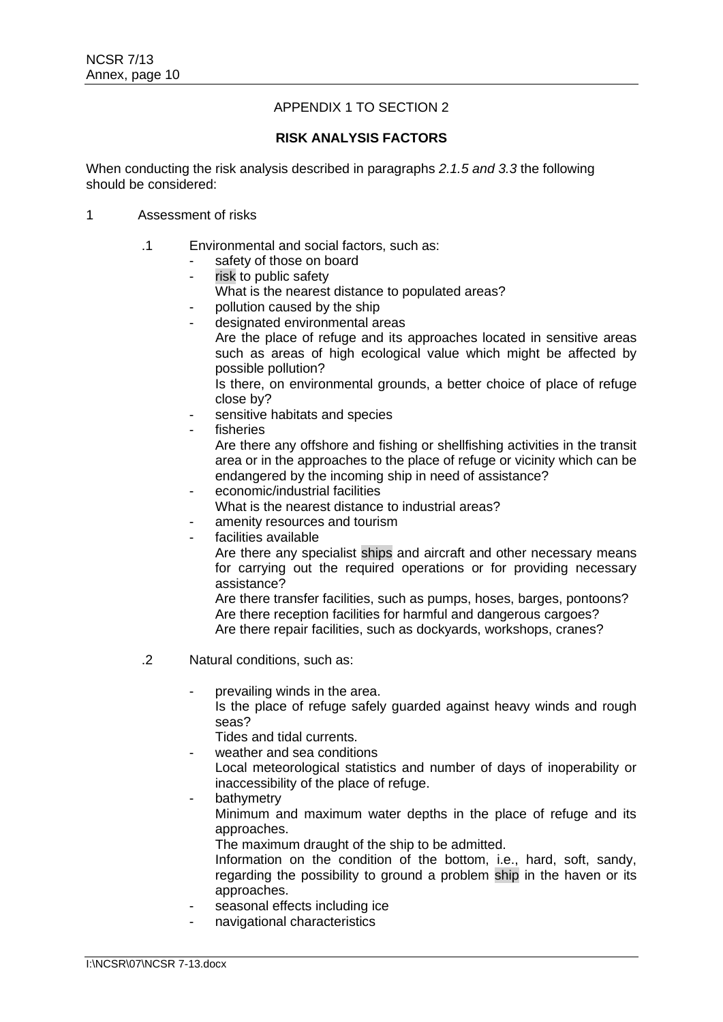## APPENDIX 1 TO SECTION 2

### **RISK ANALYSIS FACTORS**

When conducting the risk analysis described in paragraphs *2.1.5 and 3.3* the following should be considered:

### 1 Assessment of risks

- .1 Environmental and social factors, such as:
	- safety of those on board
	- risk to public safety
	- What is the nearest distance to populated areas?
	- pollution caused by the ship
	- designated environmental areas
		- Are the place of refuge and its approaches located in sensitive areas such as areas of high ecological value which might be affected by possible pollution?

Is there, on environmental grounds, a better choice of place of refuge close by?

- sensitive habitats and species
- fisheries

Are there any offshore and fishing or shellfishing activities in the transit area or in the approaches to the place of refuge or vicinity which can be endangered by the incoming ship in need of assistance?

- economic/industrial facilities
- What is the nearest distance to industrial areas?
- amenity resources and tourism
- facilities available

Are there any specialist ships and aircraft and other necessary means for carrying out the required operations or for providing necessary assistance?

Are there transfer facilities, such as pumps, hoses, barges, pontoons? Are there reception facilities for harmful and dangerous cargoes? Are there repair facilities, such as dockyards, workshops, cranes?

- .2 Natural conditions, such as:
	- prevailing winds in the area.

Is the place of refuge safely guarded against heavy winds and rough seas?

Tides and tidal currents.

weather and sea conditions

Local meteorological statistics and number of days of inoperability or inaccessibility of the place of refuge.

bathymetry Minimum and maximum water depths in the place of refuge and its approaches.

The maximum draught of the ship to be admitted.

Information on the condition of the bottom, i.e., hard, soft, sandy, regarding the possibility to ground a problem ship in the haven or its approaches.

- seasonal effects including ice
- navigational characteristics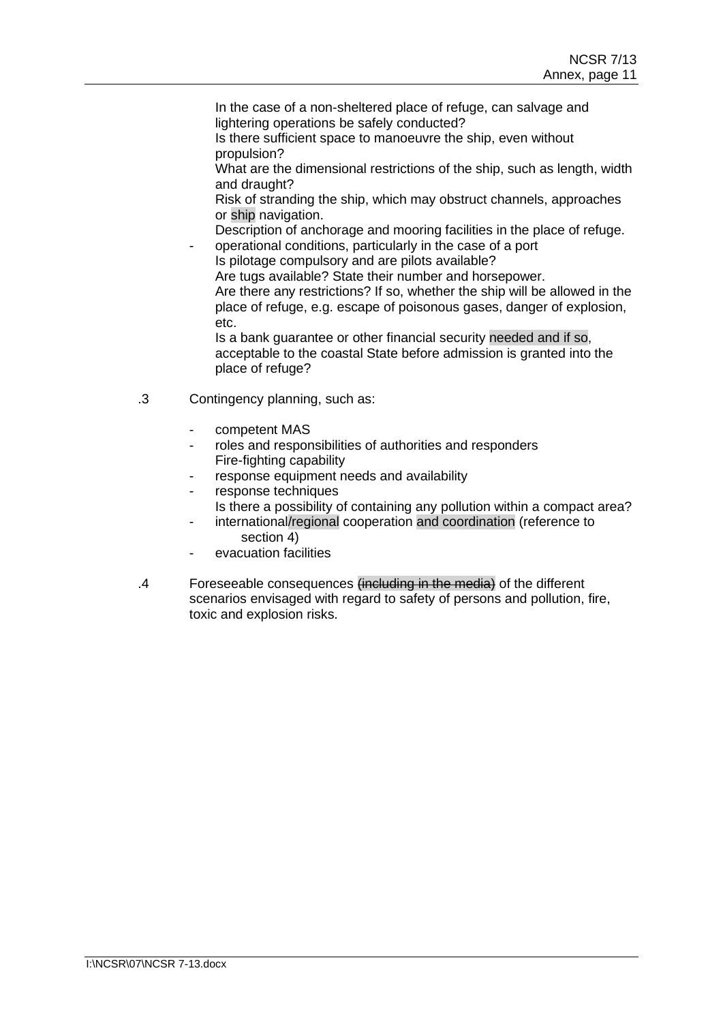In the case of a non-sheltered place of refuge, can salvage and lightering operations be safely conducted?

Is there sufficient space to manoeuvre the ship, even without propulsion?

What are the dimensional restrictions of the ship, such as length, width and draught?

Risk of stranding the ship, which may obstruct channels, approaches or ship navigation.

Description of anchorage and mooring facilities in the place of refuge.

operational conditions, particularly in the case of a port Is pilotage compulsory and are pilots available? Are tugs available? State their number and horsepower.

Are there any restrictions? If so, whether the ship will be allowed in the place of refuge, e.g. escape of poisonous gases, danger of explosion, etc.

Is a bank guarantee or other financial security needed and if so, acceptable to the coastal State before admission is granted into the place of refuge?

- .3 Contingency planning, such as:
	- competent MAS
	- roles and responsibilities of authorities and responders Fire-fighting capability
	- response equipment needs and availability
	- response techniques
	- Is there a possibility of containing any pollution within a compact area?
	- international/regional cooperation and coordination (reference to section 4)
	- evacuation facilities
- .4 Foreseeable consequences (including in the media) of the different scenarios envisaged with regard to safety of persons and pollution, fire, toxic and explosion risks.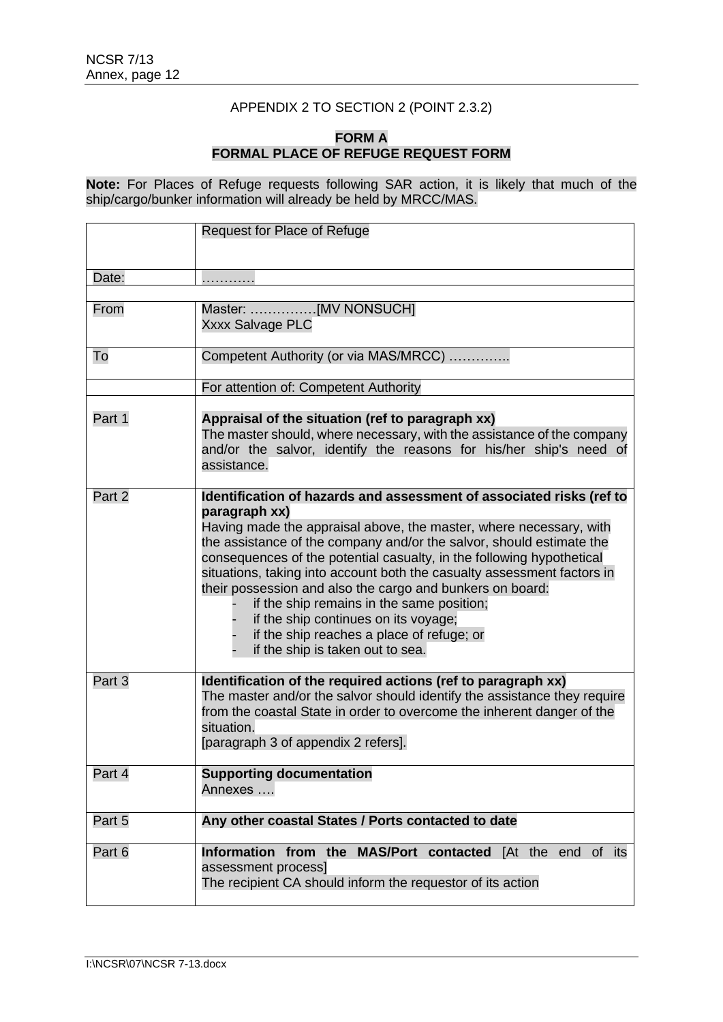## APPENDIX 2 TO SECTION 2 (POINT 2.3.2)

### **FORM A FORMAL PLACE OF REFUGE REQUEST FORM**

**Note:** For Places of Refuge requests following SAR action, it is likely that much of the ship/cargo/bunker information will already be held by MRCC/MAS.

|        | <b>Request for Place of Refuge</b>                                                                                                                                                                                                                                                                                                                                                                                                                                                                                                                                                                                         |  |
|--------|----------------------------------------------------------------------------------------------------------------------------------------------------------------------------------------------------------------------------------------------------------------------------------------------------------------------------------------------------------------------------------------------------------------------------------------------------------------------------------------------------------------------------------------------------------------------------------------------------------------------------|--|
| Date:  |                                                                                                                                                                                                                                                                                                                                                                                                                                                                                                                                                                                                                            |  |
|        |                                                                                                                                                                                                                                                                                                                                                                                                                                                                                                                                                                                                                            |  |
| From   | Master: [MV NONSUCH]<br><b>Xxxx Salvage PLC</b>                                                                                                                                                                                                                                                                                                                                                                                                                                                                                                                                                                            |  |
| To     | Competent Authority (or via MAS/MRCC)<br>For attention of: Competent Authority                                                                                                                                                                                                                                                                                                                                                                                                                                                                                                                                             |  |
|        |                                                                                                                                                                                                                                                                                                                                                                                                                                                                                                                                                                                                                            |  |
| Part 1 | Appraisal of the situation (ref to paragraph xx)<br>The master should, where necessary, with the assistance of the company<br>and/or the salvor, identify the reasons for his/her ship's need of<br>assistance.                                                                                                                                                                                                                                                                                                                                                                                                            |  |
| Part 2 | Identification of hazards and assessment of associated risks (ref to<br>paragraph xx)<br>Having made the appraisal above, the master, where necessary, with<br>the assistance of the company and/or the salvor, should estimate the<br>consequences of the potential casualty, in the following hypothetical<br>situations, taking into account both the casualty assessment factors in<br>their possession and also the cargo and bunkers on board:<br>if the ship remains in the same position;<br>if the ship continues on its voyage;<br>if the ship reaches a place of refuge; or<br>if the ship is taken out to sea. |  |
| Part 3 | Identification of the required actions (ref to paragraph xx)<br>The master and/or the salvor should identify the assistance they require<br>from the coastal State in order to overcome the inherent danger of the<br>situation.<br>[paragraph 3 of appendix 2 refers].                                                                                                                                                                                                                                                                                                                                                    |  |
| Part 4 | <b>Supporting documentation</b><br>Annexes                                                                                                                                                                                                                                                                                                                                                                                                                                                                                                                                                                                 |  |
| Part 5 | Any other coastal States / Ports contacted to date                                                                                                                                                                                                                                                                                                                                                                                                                                                                                                                                                                         |  |
| Part 6 | Information from the MAS/Port contacted [At the end of its<br>assessment process]<br>The recipient CA should inform the requestor of its action                                                                                                                                                                                                                                                                                                                                                                                                                                                                            |  |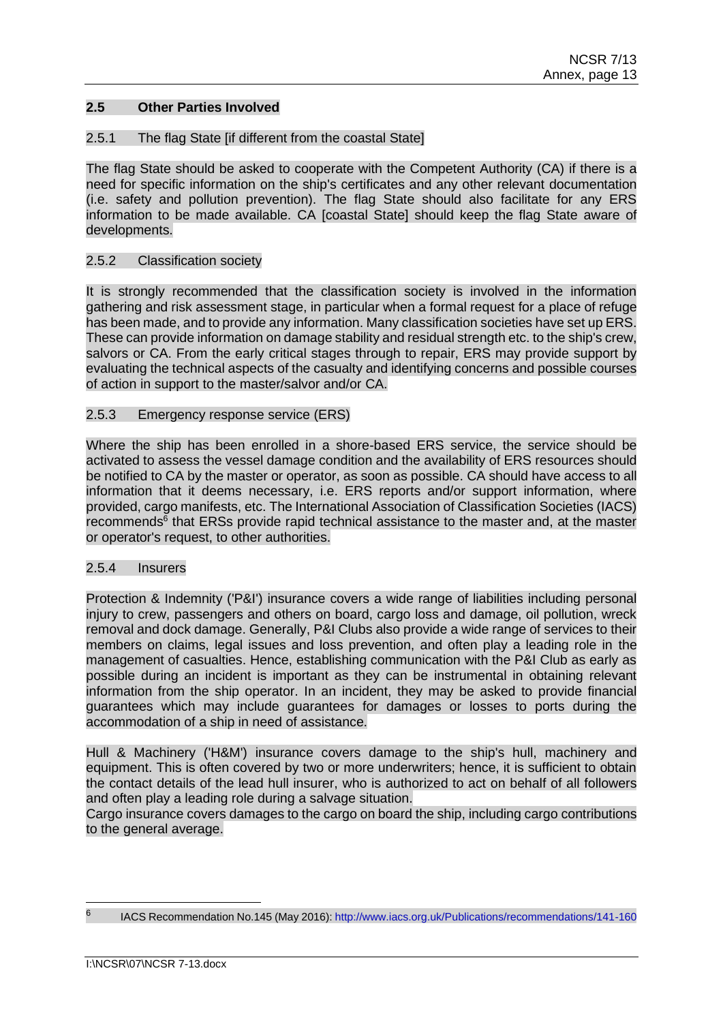### **2.5 Other Parties Involved**

### 2.5.1 The flag State [if different from the coastal State]

The flag State should be asked to cooperate with the Competent Authority (CA) if there is a need for specific information on the ship's certificates and any other relevant documentation (i.e. safety and pollution prevention). The flag State should also facilitate for any ERS information to be made available. CA [coastal State] should keep the flag State aware of developments.

### 2.5.2 Classification society

It is strongly recommended that the classification society is involved in the information gathering and risk assessment stage, in particular when a formal request for a place of refuge has been made, and to provide any information. Many classification societies have set up ERS. These can provide information on damage stability and residual strength etc. to the ship's crew, salvors or CA. From the early critical stages through to repair, ERS may provide support by evaluating the technical aspects of the casualty and identifying concerns and possible courses of action in support to the master/salvor and/or CA.

#### 2.5.3 Emergency response service (ERS)

Where the ship has been enrolled in a shore-based ERS service, the service should be activated to assess the vessel damage condition and the availability of ERS resources should be notified to CA by the master or operator, as soon as possible. CA should have access to all information that it deems necessary, i.e. ERS reports and/or support information, where provided, cargo manifests, etc. The International Association of Classification Societies (IACS) recommends<sup>6</sup> that ERSs provide rapid technical assistance to the master and, at the master or operator's request, to other authorities.

### 2.5.4 Insurers

Protection & Indemnity ('P&I') insurance covers a wide range of liabilities including personal injury to crew, passengers and others on board, cargo loss and damage, oil pollution, wreck removal and dock damage. Generally, P&I Clubs also provide a wide range of services to their members on claims, legal issues and loss prevention, and often play a leading role in the management of casualties. Hence, establishing communication with the P&I Club as early as possible during an incident is important as they can be instrumental in obtaining relevant information from the ship operator. In an incident, they may be asked to provide financial guarantees which may include guarantees for damages or losses to ports during the accommodation of a ship in need of assistance.

Hull & Machinery ('H&M') insurance covers damage to the ship's hull, machinery and equipment. This is often covered by two or more underwriters; hence, it is sufficient to obtain the contact details of the lead hull insurer, who is authorized to act on behalf of all followers and often play a leading role during a salvage situation.

Cargo insurance covers damages to the cargo on board the ship, including cargo contributions to the general average.

<sup>6</sup>

IACS Recommendation No.145 (May 2016):<http://www.iacs.org.uk/Publications/recommendations/141-160>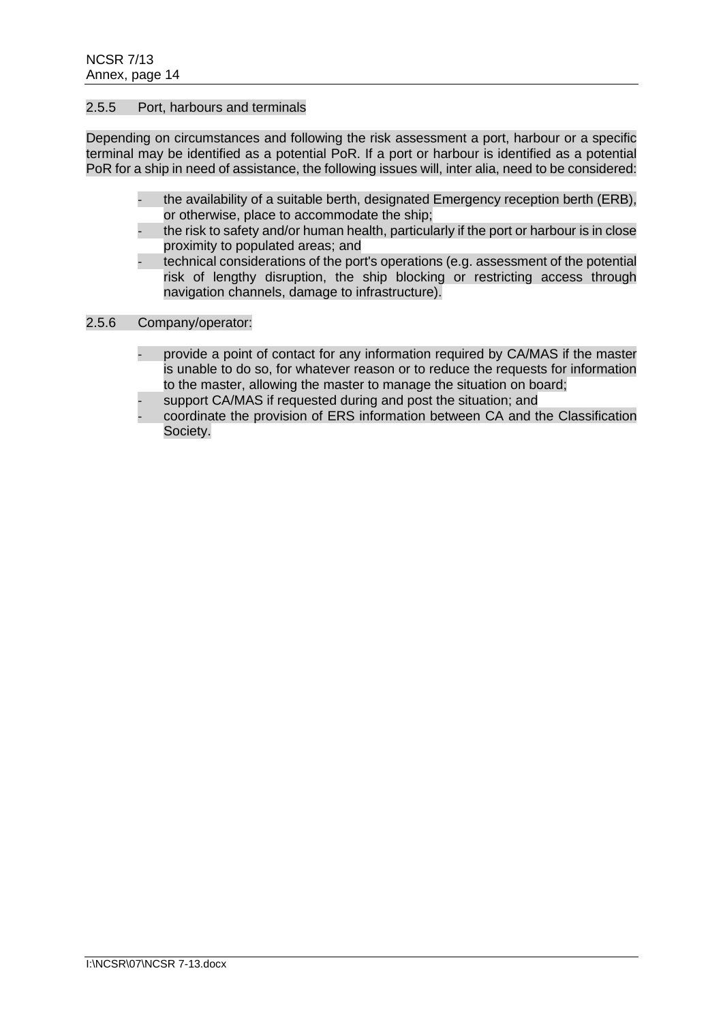### 2.5.5 Port, harbours and terminals

Depending on circumstances and following the risk assessment a port, harbour or a specific terminal may be identified as a potential PoR. If a port or harbour is identified as a potential PoR for a ship in need of assistance, the following issues will, inter alia, need to be considered:

- the availability of a suitable berth, designated Emergency reception berth (ERB), or otherwise, place to accommodate the ship;
- the risk to safety and/or human health, particularly if the port or harbour is in close proximity to populated areas; and
- technical considerations of the port's operations (e.g. assessment of the potential risk of lengthy disruption, the ship blocking or restricting access through navigation channels, damage to infrastructure).

### 2.5.6 Company/operator:

- provide a point of contact for any information required by CA/MAS if the master is unable to do so, for whatever reason or to reduce the requests for information to the master, allowing the master to manage the situation on board;
	- support CA/MAS if requested during and post the situation; and
- coordinate the provision of ERS information between CA and the Classification Society.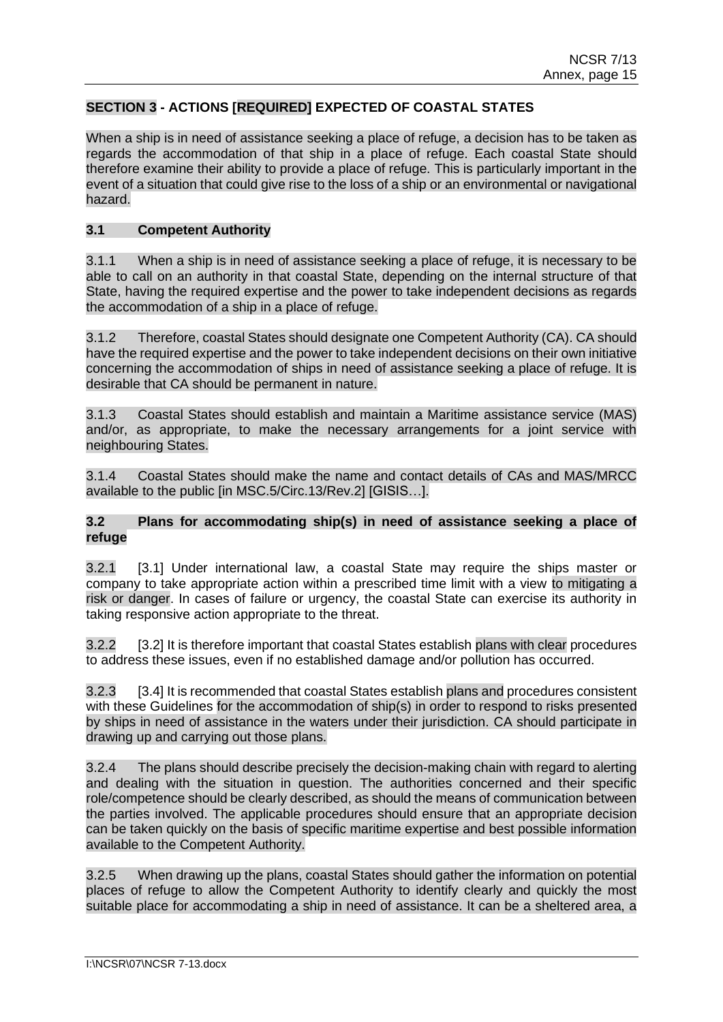## **SECTION 3 - ACTIONS [REQUIRED] EXPECTED OF COASTAL STATES**

When a ship is in need of assistance seeking a place of refuge, a decision has to be taken as regards the accommodation of that ship in a place of refuge. Each coastal State should therefore examine their ability to provide a place of refuge. This is particularly important in the event of a situation that could give rise to the loss of a ship or an environmental or navigational hazard.

### **3.1 Competent Authority**

3.1.1 When a ship is in need of assistance seeking a place of refuge, it is necessary to be able to call on an authority in that coastal State, depending on the internal structure of that State, having the required expertise and the power to take independent decisions as regards the accommodation of a ship in a place of refuge.

3.1.2 Therefore, coastal States should designate one Competent Authority (CA). CA should have the required expertise and the power to take independent decisions on their own initiative concerning the accommodation of ships in need of assistance seeking a place of refuge. It is desirable that CA should be permanent in nature.

3.1.3 Coastal States should establish and maintain a Maritime assistance service (MAS) and/or, as appropriate, to make the necessary arrangements for a joint service with neighbouring States.

3.1.4 Coastal States should make the name and contact details of CAs and MAS/MRCC available to the public [in MSC.5/Circ.13/Rev.2] [GISIS…].

### **3.2 Plans for accommodating ship(s) in need of assistance seeking a place of refuge**

3.2.1 [3.1] Under international law, a coastal State may require the ships master or company to take appropriate action within a prescribed time limit with a view to mitigating a risk or danger. In cases of failure or urgency, the coastal State can exercise its authority in taking responsive action appropriate to the threat.

3.2.2 [3.2] It is therefore important that coastal States establish plans with clear procedures to address these issues, even if no established damage and/or pollution has occurred.

3.2.3 [3.4] It is recommended that coastal States establish plans and procedures consistent with these Guidelines for the accommodation of ship(s) in order to respond to risks presented by ships in need of assistance in the waters under their jurisdiction. CA should participate in drawing up and carrying out those plans.

3.2.4 The plans should describe precisely the decision-making chain with regard to alerting and dealing with the situation in question. The authorities concerned and their specific role/competence should be clearly described, as should the means of communication between the parties involved. The applicable procedures should ensure that an appropriate decision can be taken quickly on the basis of specific maritime expertise and best possible information available to the Competent Authority.

3.2.5 When drawing up the plans, coastal States should gather the information on potential places of refuge to allow the Competent Authority to identify clearly and quickly the most suitable place for accommodating a ship in need of assistance. It can be a sheltered area, a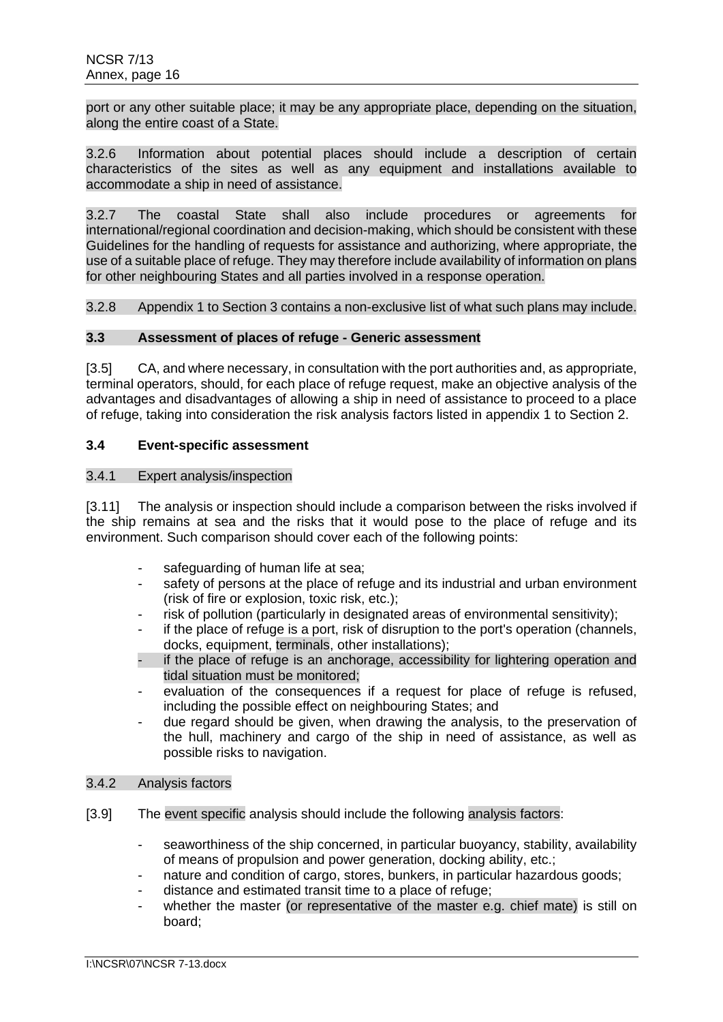port or any other suitable place; it may be any appropriate place, depending on the situation, along the entire coast of a State.

3.2.6 Information about potential places should include a description of certain characteristics of the sites as well as any equipment and installations available to accommodate a ship in need of assistance.

3.2.7 The coastal State shall also include procedures or agreements for international/regional coordination and decision-making, which should be consistent with these Guidelines for the handling of requests for assistance and authorizing, where appropriate, the use of a suitable place of refuge. They may therefore include availability of information on plans for other neighbouring States and all parties involved in a response operation.

3.2.8 Appendix 1 to Section 3 contains a non-exclusive list of what such plans may include.

# **3.3 Assessment of places of refuge - Generic assessment**

[3.5] CA, and where necessary, in consultation with the port authorities and, as appropriate, terminal operators, should, for each place of refuge request, make an objective analysis of the advantages and disadvantages of allowing a ship in need of assistance to proceed to a place of refuge, taking into consideration the risk analysis factors listed in appendix 1 to Section 2.

### **3.4 Event-specific assessment**

### 3.4.1 Expert analysis/inspection

[3.11] The analysis or inspection should include a comparison between the risks involved if the ship remains at sea and the risks that it would pose to the place of refuge and its environment. Such comparison should cover each of the following points:

- safeguarding of human life at sea:
- safety of persons at the place of refuge and its industrial and urban environment (risk of fire or explosion, toxic risk, etc.);
- risk of pollution (particularly in designated areas of environmental sensitivity);
- if the place of refuge is a port, risk of disruption to the port's operation (channels, docks, equipment, terminals, other installations);
- if the place of refuge is an anchorage, accessibility for lightering operation and tidal situation must be monitored;
- evaluation of the consequences if a request for place of refuge is refused. including the possible effect on neighbouring States; and
- due regard should be given, when drawing the analysis, to the preservation of the hull, machinery and cargo of the ship in need of assistance, as well as possible risks to navigation.

### 3.4.2 Analysis factors

- [3.9] The event specific analysis should include the following analysis factors:
	- seaworthiness of the ship concerned, in particular buoyancy, stability, availability of means of propulsion and power generation, docking ability, etc.;
	- nature and condition of cargo, stores, bunkers, in particular hazardous goods;
	- distance and estimated transit time to a place of refuge;
	- whether the master (or representative of the master e.g. chief mate) is still on board;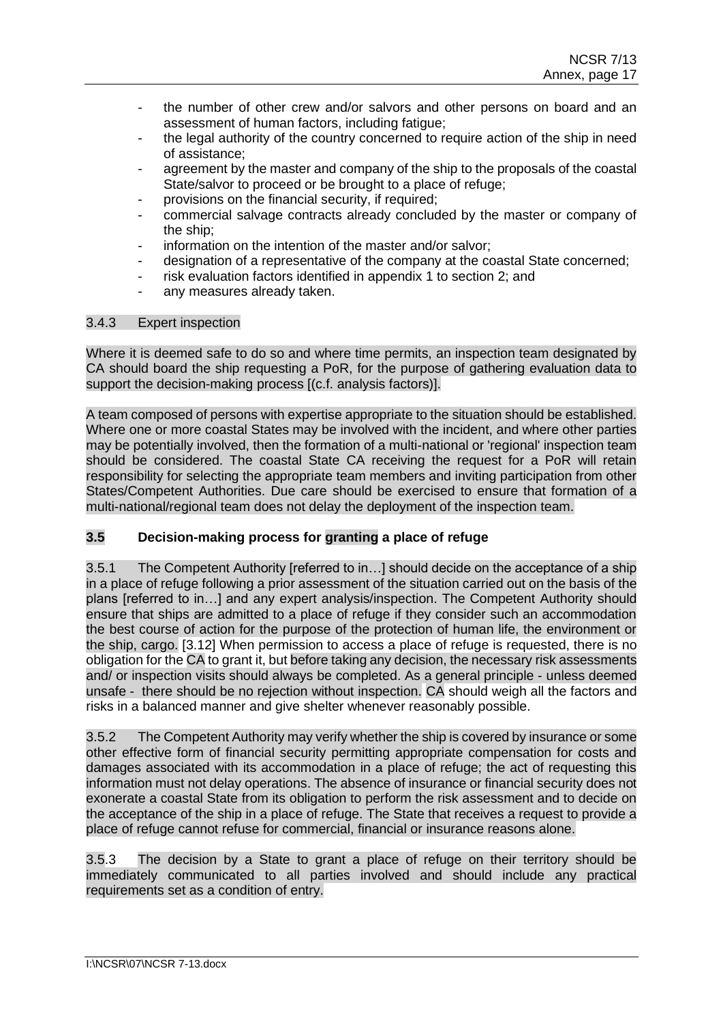- the number of other crew and/or salvors and other persons on board and an assessment of human factors, including fatigue;
- the legal authority of the country concerned to require action of the ship in need of assistance;
- agreement by the master and company of the ship to the proposals of the coastal State/salvor to proceed or be brought to a place of refuge;
- provisions on the financial security, if required;
- commercial salvage contracts already concluded by the master or company of the ship;
- information on the intention of the master and/or salvor;
- designation of a representative of the company at the coastal State concerned;
- risk evaluation factors identified in appendix 1 to section 2; and
- any measures already taken.

## 3.4.3 Expert inspection

Where it is deemed safe to do so and where time permits, an inspection team designated by CA should board the ship requesting a PoR, for the purpose of gathering evaluation data to support the decision-making process [(c.f. analysis factors)].

A team composed of persons with expertise appropriate to the situation should be established. Where one or more coastal States may be involved with the incident, and where other parties may be potentially involved, then the formation of a multi-national or 'regional' inspection team should be considered. The coastal State CA receiving the request for a PoR will retain responsibility for selecting the appropriate team members and inviting participation from other States/Competent Authorities. Due care should be exercised to ensure that formation of a multi-national/regional team does not delay the deployment of the inspection team.

# **3.5 Decision-making process for granting a place of refuge**

3.5.1 The Competent Authority [referred to in…] should decide on the acceptance of a ship in a place of refuge following a prior assessment of the situation carried out on the basis of the plans [referred to in…] and any expert analysis/inspection. The Competent Authority should ensure that ships are admitted to a place of refuge if they consider such an accommodation the best course of action for the purpose of the protection of human life, the environment or the ship, cargo. [3.12] When permission to access a place of refuge is requested, there is no obligation for the CA to grant it, but before taking any decision, the necessary risk assessments and/ or inspection visits should always be completed. As a general principle - unless deemed unsafe - there should be no rejection without inspection. CA should weigh all the factors and risks in a balanced manner and give shelter whenever reasonably possible.

3.5.2 The Competent Authority may verify whether the ship is covered by insurance or some other effective form of financial security permitting appropriate compensation for costs and damages associated with its accommodation in a place of refuge; the act of requesting this information must not delay operations. The absence of insurance or financial security does not exonerate a coastal State from its obligation to perform the risk assessment and to decide on the acceptance of the ship in a place of refuge. The State that receives a request to provide a place of refuge cannot refuse for commercial, financial or insurance reasons alone.

3.5.3 The decision by a State to grant a place of refuge on their territory should be immediately communicated to all parties involved and should include any practical requirements set as a condition of entry.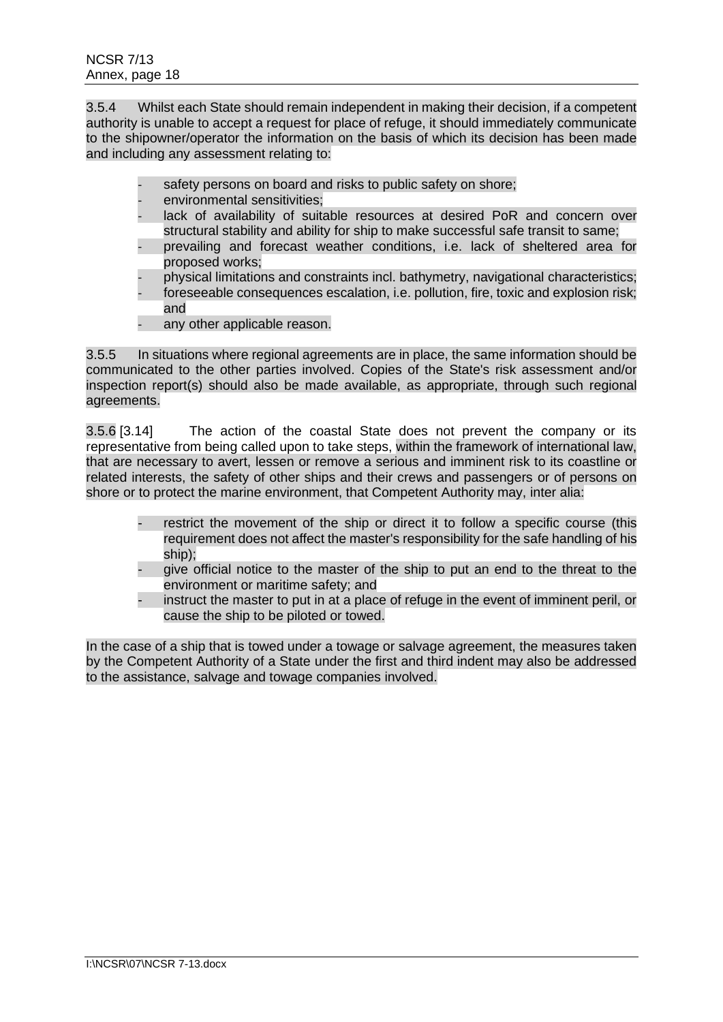3.5.4 Whilst each State should remain independent in making their decision, if a competent authority is unable to accept a request for place of refuge, it should immediately communicate to the shipowner/operator the information on the basis of which its decision has been made and including any assessment relating to:

- safety persons on board and risks to public safety on shore;
- environmental sensitivities:
- lack of availability of suitable resources at desired PoR and concern over structural stability and ability for ship to make successful safe transit to same;
- prevailing and forecast weather conditions, i.e. lack of sheltered area for proposed works;
- physical limitations and constraints incl. bathymetry, navigational characteristics;
- foreseeable consequences escalation, i.e. pollution, fire, toxic and explosion risk; and
- any other applicable reason.

3.5.5 In situations where regional agreements are in place, the same information should be communicated to the other parties involved. Copies of the State's risk assessment and/or inspection report(s) should also be made available, as appropriate, through such regional agreements.

3.5.6 [3.14] The action of the coastal State does not prevent the company or its representative from being called upon to take steps, within the framework of international law, that are necessary to avert, lessen or remove a serious and imminent risk to its coastline or related interests, the safety of other ships and their crews and passengers or of persons on shore or to protect the marine environment, that Competent Authority may, inter alia:

- restrict the movement of the ship or direct it to follow a specific course (this requirement does not affect the master's responsibility for the safe handling of his ship);
- give official notice to the master of the ship to put an end to the threat to the environment or maritime safety; and
- instruct the master to put in at a place of refuge in the event of imminent peril, or cause the ship to be piloted or towed.

In the case of a ship that is towed under a towage or salvage agreement, the measures taken by the Competent Authority of a State under the first and third indent may also be addressed to the assistance, salvage and towage companies involved.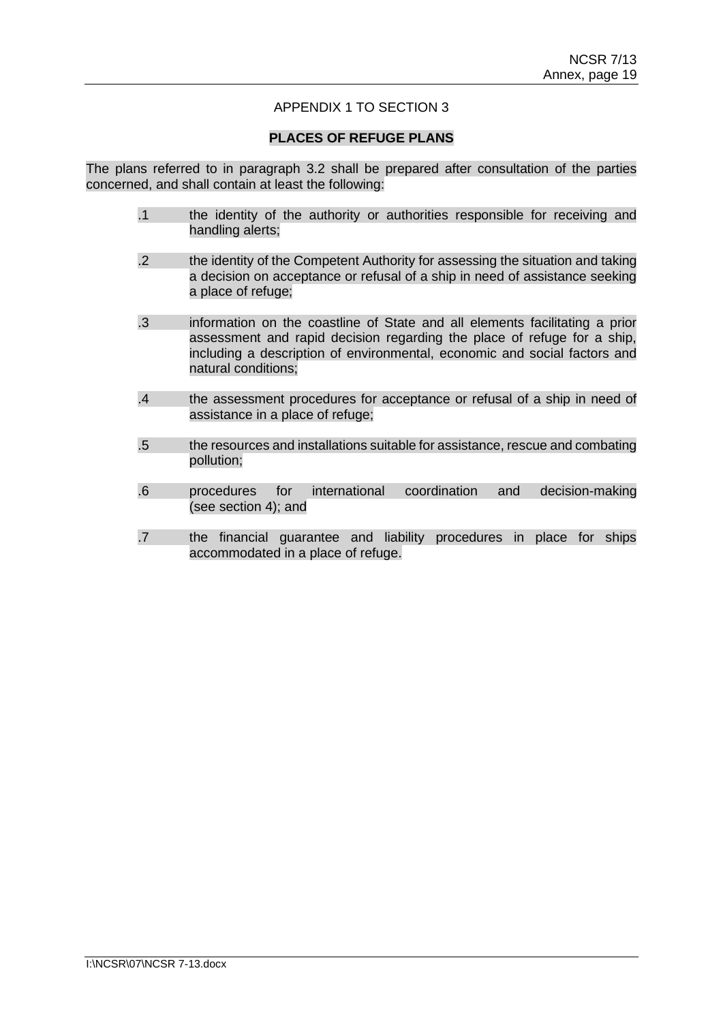## APPENDIX 1 TO SECTION 3

### **PLACES OF REFUGE PLANS**

The plans referred to in paragraph 3.2 shall be prepared after consultation of the parties concerned, and shall contain at least the following:

- .1 the identity of the authority or authorities responsible for receiving and handling alerts;
- .2 the identity of the Competent Authority for assessing the situation and taking a decision on acceptance or refusal of a ship in need of assistance seeking a place of refuge;
- .3 information on the coastline of State and all elements facilitating a prior assessment and rapid decision regarding the place of refuge for a ship, including a description of environmental, economic and social factors and natural conditions;
- .4 the assessment procedures for acceptance or refusal of a ship in need of assistance in a place of refuge;
- .5 the resources and installations suitable for assistance, rescue and combating pollution;
- .6 procedures for international coordination and decision-making (see section 4); and
- .7 the financial guarantee and liability procedures in place for ships accommodated in a place of refuge.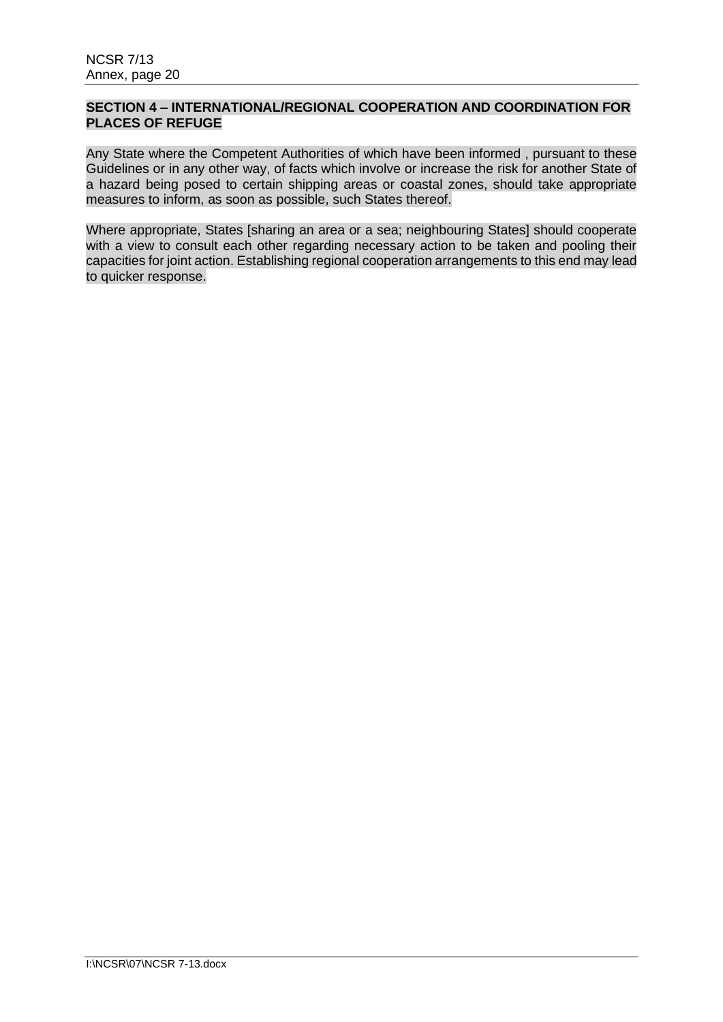## **SECTION 4 – INTERNATIONAL/REGIONAL COOPERATION AND COORDINATION FOR PLACES OF REFUGE**

Any State where the Competent Authorities of which have been informed , pursuant to these Guidelines or in any other way, of facts which involve or increase the risk for another State of a hazard being posed to certain shipping areas or coastal zones, should take appropriate measures to inform, as soon as possible, such States thereof.

Where appropriate, States [sharing an area or a sea; neighbouring States] should cooperate with a view to consult each other regarding necessary action to be taken and pooling their capacities for joint action. Establishing regional cooperation arrangements to this end may lead to quicker response.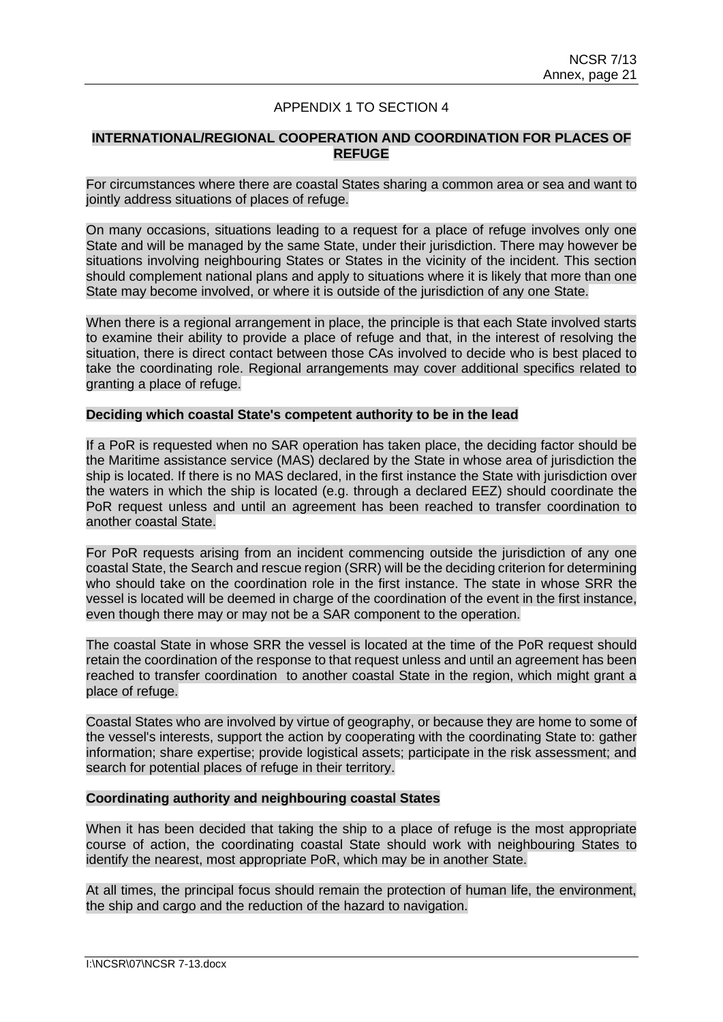## APPENDIX 1 TO SECTION 4

### **INTERNATIONAL/REGIONAL COOPERATION AND COORDINATION FOR PLACES OF REFUGE**

For circumstances where there are coastal States sharing a common area or sea and want to jointly address situations of places of refuge.

On many occasions, situations leading to a request for a place of refuge involves only one State and will be managed by the same State, under their jurisdiction. There may however be situations involving neighbouring States or States in the vicinity of the incident. This section should complement national plans and apply to situations where it is likely that more than one State may become involved, or where it is outside of the jurisdiction of any one State.

When there is a regional arrangement in place, the principle is that each State involved starts to examine their ability to provide a place of refuge and that, in the interest of resolving the situation, there is direct contact between those CAs involved to decide who is best placed to take the coordinating role. Regional arrangements may cover additional specifics related to granting a place of refuge.

#### **Deciding which coastal State's competent authority to be in the lead**

If a PoR is requested when no SAR operation has taken place, the deciding factor should be the Maritime assistance service (MAS) declared by the State in whose area of jurisdiction the ship is located. If there is no MAS declared, in the first instance the State with jurisdiction over the waters in which the ship is located (e.g. through a declared EEZ) should coordinate the PoR request unless and until an agreement has been reached to transfer coordination to another coastal State.

For PoR requests arising from an incident commencing outside the jurisdiction of any one coastal State, the Search and rescue region (SRR) will be the deciding criterion for determining who should take on the coordination role in the first instance. The state in whose SRR the vessel is located will be deemed in charge of the coordination of the event in the first instance, even though there may or may not be a SAR component to the operation.

The coastal State in whose SRR the vessel is located at the time of the PoR request should retain the coordination of the response to that request unless and until an agreement has been reached to transfer coordination to another coastal State in the region, which might grant a place of refuge.

Coastal States who are involved by virtue of geography, or because they are home to some of the vessel's interests, support the action by cooperating with the coordinating State to: gather information; share expertise; provide logistical assets; participate in the risk assessment; and search for potential places of refuge in their territory.

### **Coordinating authority and neighbouring coastal States**

When it has been decided that taking the ship to a place of refuge is the most appropriate course of action, the coordinating coastal State should work with neighbouring States to identify the nearest, most appropriate PoR, which may be in another State.

At all times, the principal focus should remain the protection of human life, the environment, the ship and cargo and the reduction of the hazard to navigation.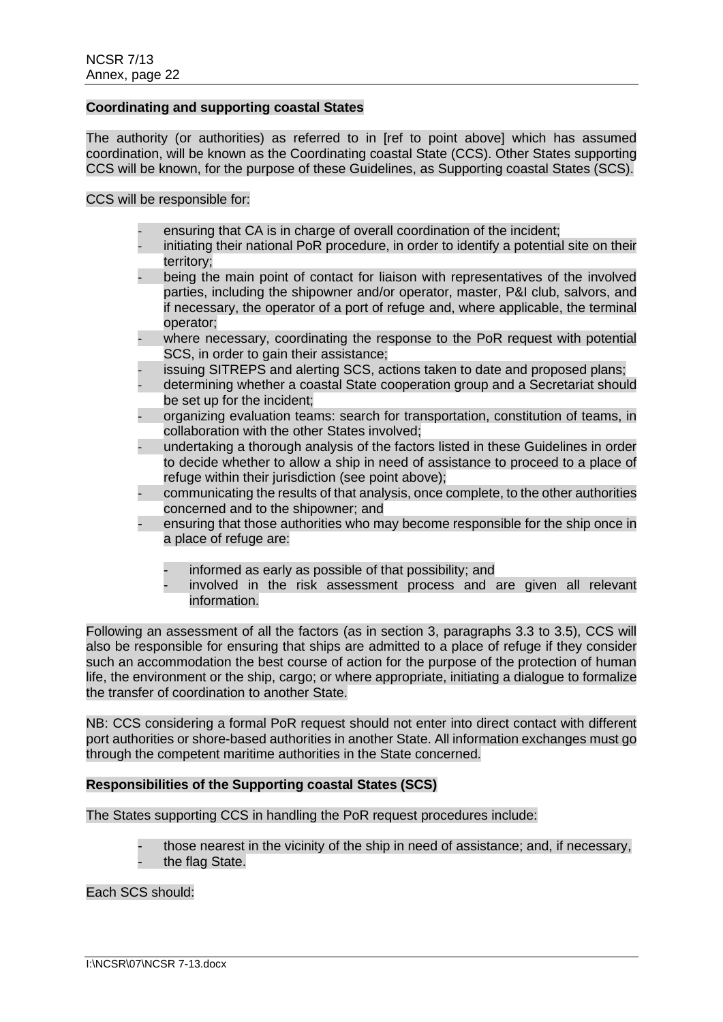### **Coordinating and supporting coastal States**

The authority (or authorities) as referred to in [ref to point above] which has assumed coordination, will be known as the Coordinating coastal State (CCS). Other States supporting CCS will be known, for the purpose of these Guidelines, as Supporting coastal States (SCS).

CCS will be responsible for:

- ensuring that CA is in charge of overall coordination of the incident;
- initiating their national PoR procedure, in order to identify a potential site on their territory;
- being the main point of contact for liaison with representatives of the involved parties, including the shipowner and/or operator, master, P&I club, salvors, and if necessary, the operator of a port of refuge and, where applicable, the terminal operator;
- where necessary, coordinating the response to the PoR request with potential SCS, in order to gain their assistance:
- issuing SITREPS and alerting SCS, actions taken to date and proposed plans;
- determining whether a coastal State cooperation group and a Secretariat should be set up for the incident;
- organizing evaluation teams: search for transportation, constitution of teams, in collaboration with the other States involved;
- undertaking a thorough analysis of the factors listed in these Guidelines in order to decide whether to allow a ship in need of assistance to proceed to a place of refuge within their jurisdiction (see point above);
- communicating the results of that analysis, once complete, to the other authorities concerned and to the shipowner; and
- ensuring that those authorities who may become responsible for the ship once in a place of refuge are:
	- informed as early as possible of that possibility; and
	- involved in the risk assessment process and are given all relevant information.

Following an assessment of all the factors (as in section 3, paragraphs 3.3 to 3.5), CCS will also be responsible for ensuring that ships are admitted to a place of refuge if they consider such an accommodation the best course of action for the purpose of the protection of human life, the environment or the ship, cargo; or where appropriate, initiating a dialogue to formalize the transfer of coordination to another State.

NB: CCS considering a formal PoR request should not enter into direct contact with different port authorities or shore-based authorities in another State. All information exchanges must go through the competent maritime authorities in the State concerned.

## **Responsibilities of the Supporting coastal States (SCS)**

The States supporting CCS in handling the PoR request procedures include:

- those nearest in the vicinity of the ship in need of assistance; and, if necessary,
- the flag State.

Each SCS should: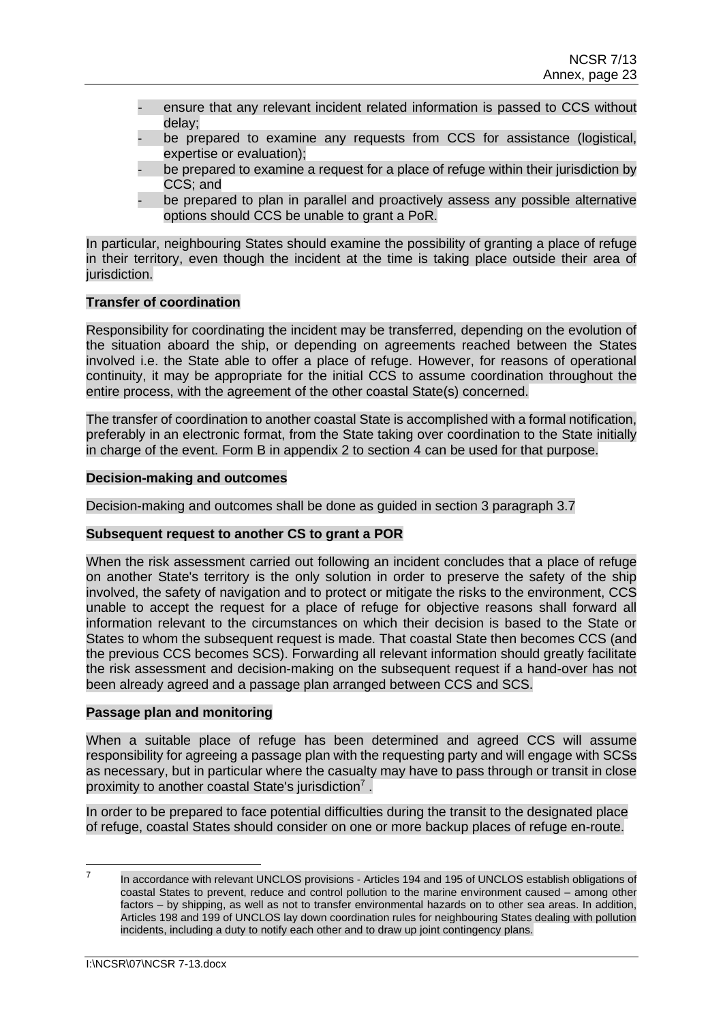- ensure that any relevant incident related information is passed to CCS without delay;
- be prepared to examine any requests from CCS for assistance (logistical, expertise or evaluation);
- be prepared to examine a request for a place of refuge within their jurisdiction by CCS; and
- be prepared to plan in parallel and proactively assess any possible alternative options should CCS be unable to grant a PoR.

In particular, neighbouring States should examine the possibility of granting a place of refuge in their territory, even though the incident at the time is taking place outside their area of jurisdiction.

### **Transfer of coordination**

Responsibility for coordinating the incident may be transferred, depending on the evolution of the situation aboard the ship, or depending on agreements reached between the States involved i.e. the State able to offer a place of refuge. However, for reasons of operational continuity, it may be appropriate for the initial CCS to assume coordination throughout the entire process, with the agreement of the other coastal State(s) concerned.

The transfer of coordination to another coastal State is accomplished with a formal notification, preferably in an electronic format, from the State taking over coordination to the State initially in charge of the event. Form B in appendix 2 to section 4 can be used for that purpose.

### **Decision-making and outcomes**

Decision-making and outcomes shall be done as guided in section 3 paragraph 3.7

### **Subsequent request to another CS to grant a POR**

When the risk assessment carried out following an incident concludes that a place of refuge on another State's territory is the only solution in order to preserve the safety of the ship involved, the safety of navigation and to protect or mitigate the risks to the environment, CCS unable to accept the request for a place of refuge for objective reasons shall forward all information relevant to the circumstances on which their decision is based to the State or States to whom the subsequent request is made. That coastal State then becomes CCS (and the previous CCS becomes SCS). Forwarding all relevant information should greatly facilitate the risk assessment and decision-making on the subsequent request if a hand-over has not been already agreed and a passage plan arranged between CCS and SCS.

### **Passage plan and monitoring**

When a suitable place of refuge has been determined and agreed CCS will assume responsibility for agreeing a passage plan with the requesting party and will engage with SCSs as necessary, but in particular where the casualty may have to pass through or transit in close proximity to another coastal State's jurisdiction<sup>7</sup>.

In order to be prepared to face potential difficulties during the transit to the designated place of refuge, coastal States should consider on one or more backup places of refuge en-route.

<sup>7</sup> In accordance with relevant UNCLOS provisions - Articles 194 and 195 of UNCLOS establish obligations of coastal States to prevent, reduce and control pollution to the marine environment caused – among other factors – by shipping, as well as not to transfer environmental hazards on to other sea areas. In addition, Articles 198 and 199 of UNCLOS lay down coordination rules for neighbouring States dealing with pollution incidents, including a duty to notify each other and to draw up joint contingency plans.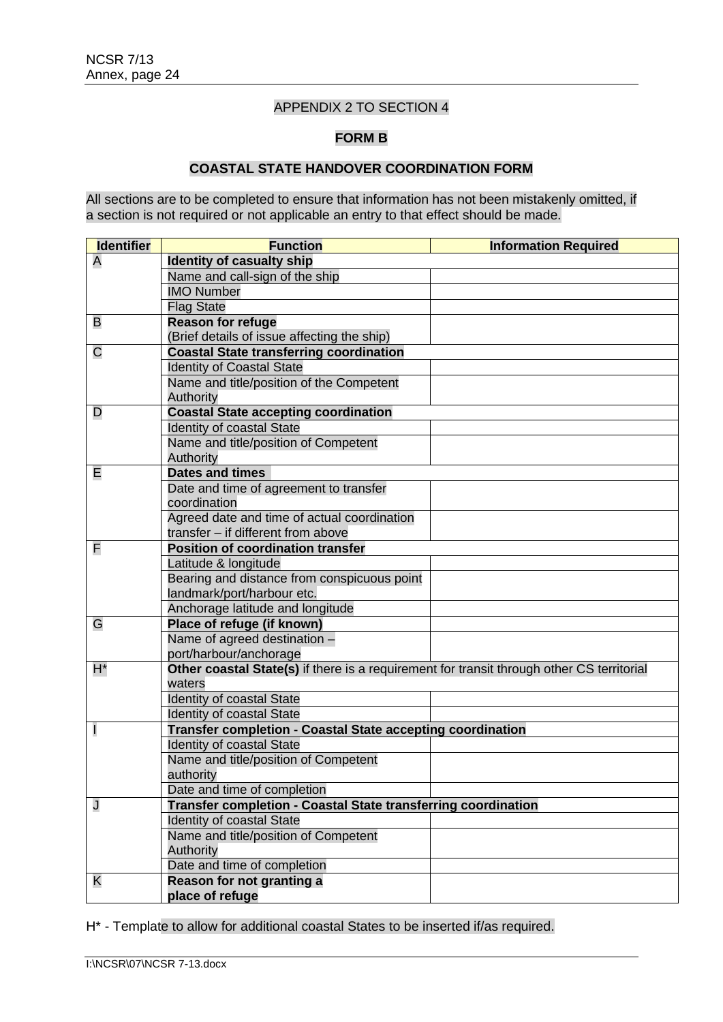## APPENDIX 2 TO SECTION 4

### **FORM B**

## **COASTAL STATE HANDOVER COORDINATION FORM**

All sections are to be completed to ensure that information has not been mistakenly omitted, if a section is not required or not applicable an entry to that effect should be made.

| <b>Identifier</b>      | <b>Function</b>                                                                           | <b>Information Required</b> |  |
|------------------------|-------------------------------------------------------------------------------------------|-----------------------------|--|
| Α                      | <b>Identity of casualty ship</b>                                                          |                             |  |
|                        | Name and call-sign of the ship                                                            |                             |  |
|                        | <b>IMO Number</b>                                                                         |                             |  |
|                        | <b>Flag State</b>                                                                         |                             |  |
| B                      | <b>Reason for refuge</b>                                                                  |                             |  |
|                        | (Brief details of issue affecting the ship)                                               |                             |  |
| С                      | <b>Coastal State transferring coordination</b>                                            |                             |  |
|                        | <b>Identity of Coastal State</b>                                                          |                             |  |
|                        | Name and title/position of the Competent                                                  |                             |  |
|                        | Authority                                                                                 |                             |  |
| D                      | <b>Coastal State accepting coordination</b>                                               |                             |  |
|                        | <b>Identity of coastal State</b>                                                          |                             |  |
|                        | Name and title/position of Competent                                                      |                             |  |
|                        | Authority                                                                                 |                             |  |
| Е                      | <b>Dates and times</b>                                                                    |                             |  |
|                        | Date and time of agreement to transfer                                                    |                             |  |
|                        | coordination                                                                              |                             |  |
|                        | Agreed date and time of actual coordination                                               |                             |  |
|                        | transfer - if different from above                                                        |                             |  |
| F                      | <b>Position of coordination transfer</b>                                                  |                             |  |
|                        | Latitude & longitude                                                                      |                             |  |
|                        | Bearing and distance from conspicuous point                                               |                             |  |
|                        | landmark/port/harbour etc.                                                                |                             |  |
|                        | Anchorage latitude and longitude                                                          |                             |  |
| G                      | Place of refuge (if known)                                                                |                             |  |
|                        | Name of agreed destination -                                                              |                             |  |
| port/harbour/anchorage |                                                                                           |                             |  |
| H*                     | Other coastal State(s) if there is a requirement for transit through other CS territorial |                             |  |
|                        | waters                                                                                    |                             |  |
|                        | <b>Identity of coastal State</b>                                                          |                             |  |
|                        | Identity of coastal State                                                                 |                             |  |
| I                      | <b>Transfer completion - Coastal State accepting coordination</b>                         |                             |  |
|                        | <b>Identity of coastal State</b>                                                          |                             |  |
|                        | Name and title/position of Competent                                                      |                             |  |
|                        | authority                                                                                 |                             |  |
|                        | Date and time of completion                                                               |                             |  |
| J                      | <b>Transfer completion - Coastal State transferring coordination</b>                      |                             |  |
|                        | Identity of coastal State                                                                 |                             |  |
|                        | Name and title/position of Competent                                                      |                             |  |
|                        | Authority                                                                                 |                             |  |
|                        | Date and time of completion                                                               |                             |  |
| Κ                      | Reason for not granting a                                                                 |                             |  |
|                        | place of refuge                                                                           |                             |  |

H\* - Template to allow for additional coastal States to be inserted if/as required.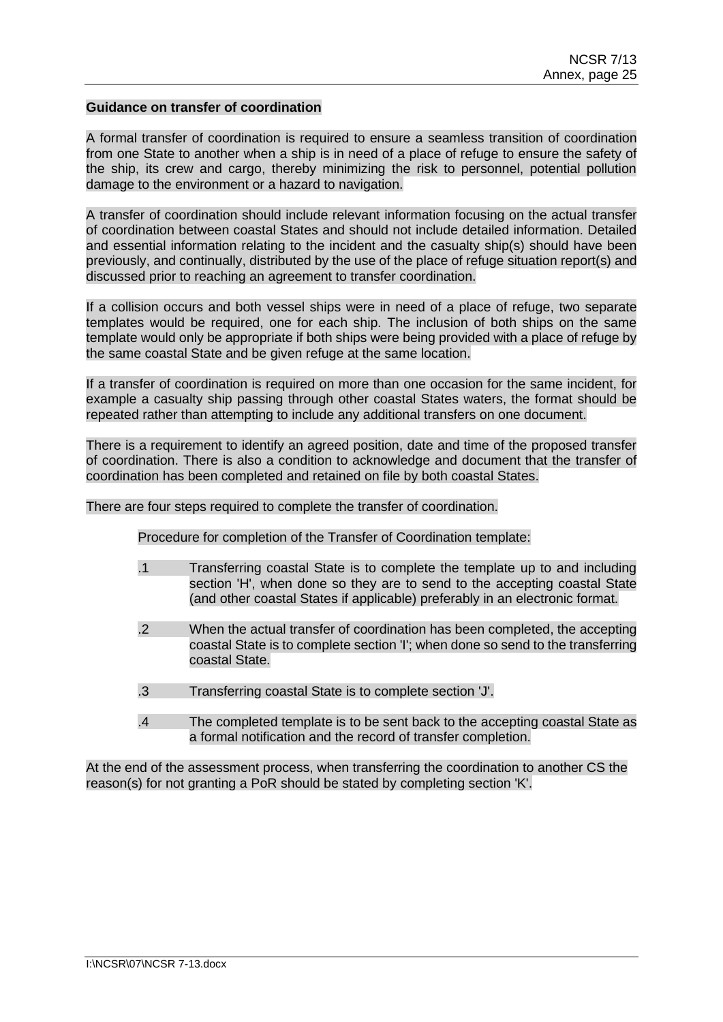#### **Guidance on transfer of coordination**

A formal transfer of coordination is required to ensure a seamless transition of coordination from one State to another when a ship is in need of a place of refuge to ensure the safety of the ship, its crew and cargo, thereby minimizing the risk to personnel, potential pollution damage to the environment or a hazard to navigation.

A transfer of coordination should include relevant information focusing on the actual transfer of coordination between coastal States and should not include detailed information. Detailed and essential information relating to the incident and the casualty ship(s) should have been previously, and continually, distributed by the use of the place of refuge situation report(s) and discussed prior to reaching an agreement to transfer coordination.

If a collision occurs and both vessel ships were in need of a place of refuge, two separate templates would be required, one for each ship. The inclusion of both ships on the same template would only be appropriate if both ships were being provided with a place of refuge by the same coastal State and be given refuge at the same location.

If a transfer of coordination is required on more than one occasion for the same incident, for example a casualty ship passing through other coastal States waters, the format should be repeated rather than attempting to include any additional transfers on one document.

There is a requirement to identify an agreed position, date and time of the proposed transfer of coordination. There is also a condition to acknowledge and document that the transfer of coordination has been completed and retained on file by both coastal States.

There are four steps required to complete the transfer of coordination.

Procedure for completion of the Transfer of Coordination template:

- .1 Transferring coastal State is to complete the template up to and including section 'H', when done so they are to send to the accepting coastal State (and other coastal States if applicable) preferably in an electronic format.
- .2 When the actual transfer of coordination has been completed, the accepting coastal State is to complete section 'I'; when done so send to the transferring coastal State.
- .3 Transferring coastal State is to complete section 'J'.
- .4 The completed template is to be sent back to the accepting coastal State as a formal notification and the record of transfer completion.

At the end of the assessment process, when transferring the coordination to another CS the reason(s) for not granting a PoR should be stated by completing section 'K'.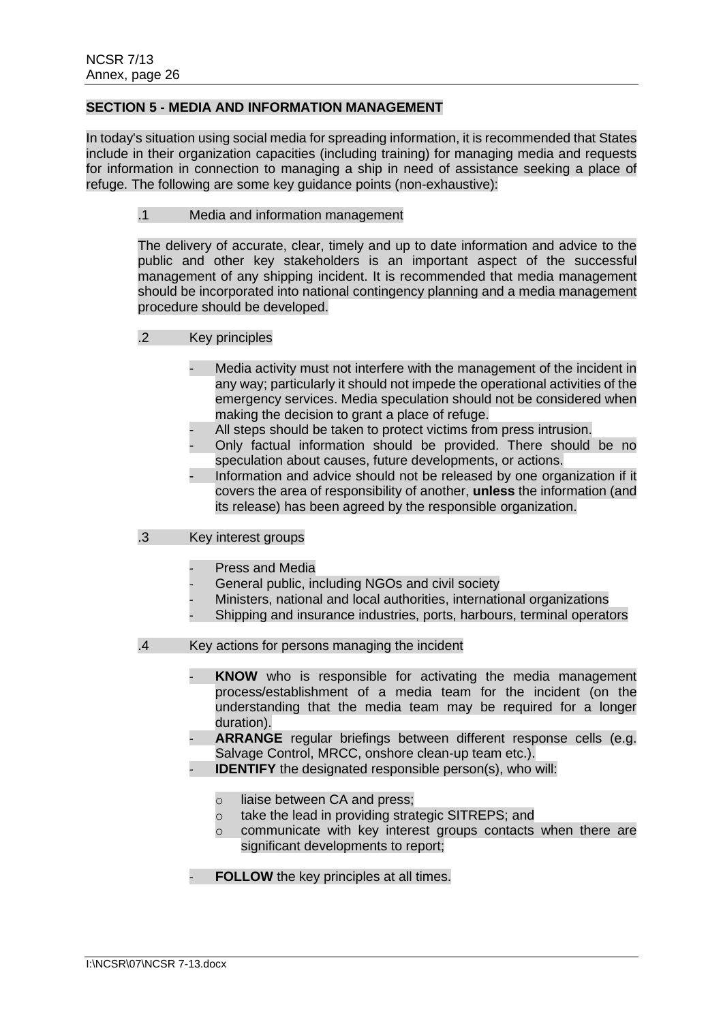### **SECTION 5 - MEDIA AND INFORMATION MANAGEMENT**

In today's situation using social media for spreading information, it is recommended that States include in their organization capacities (including training) for managing media and requests for information in connection to managing a ship in need of assistance seeking a place of refuge. The following are some key guidance points (non-exhaustive):

### .1 Media and information management

The delivery of accurate, clear, timely and up to date information and advice to the public and other key stakeholders is an important aspect of the successful management of any shipping incident. It is recommended that media management should be incorporated into national contingency planning and a media management procedure should be developed.

### .2 Key principles

- Media activity must not interfere with the management of the incident in any way; particularly it should not impede the operational activities of the emergency services. Media speculation should not be considered when making the decision to grant a place of refuge.
- All steps should be taken to protect victims from press intrusion.
- Only factual information should be provided. There should be no speculation about causes, future developments, or actions.
- Information and advice should not be released by one organization if it covers the area of responsibility of another, **unless** the information (and its release) has been agreed by the responsible organization.

## .3 Key interest groups

- Press and Media
- General public, including NGOs and civil society
- Ministers, national and local authorities, international organizations
- Shipping and insurance industries, ports, harbours, terminal operators

### .4 Key actions for persons managing the incident

- **KNOW** who is responsible for activating the media management process/establishment of a media team for the incident (on the understanding that the media team may be required for a longer duration).
- ARRANGE regular briefings between different response cells (e.g. Salvage Control, MRCC, onshore clean-up team etc.).
- **IDENTIFY** the designated responsible person(s), who will:
	- o liaise between CA and press;
	- o take the lead in providing strategic SITREPS; and
	- o communicate with key interest groups contacts when there are significant developments to report;
- **FOLLOW** the key principles at all times.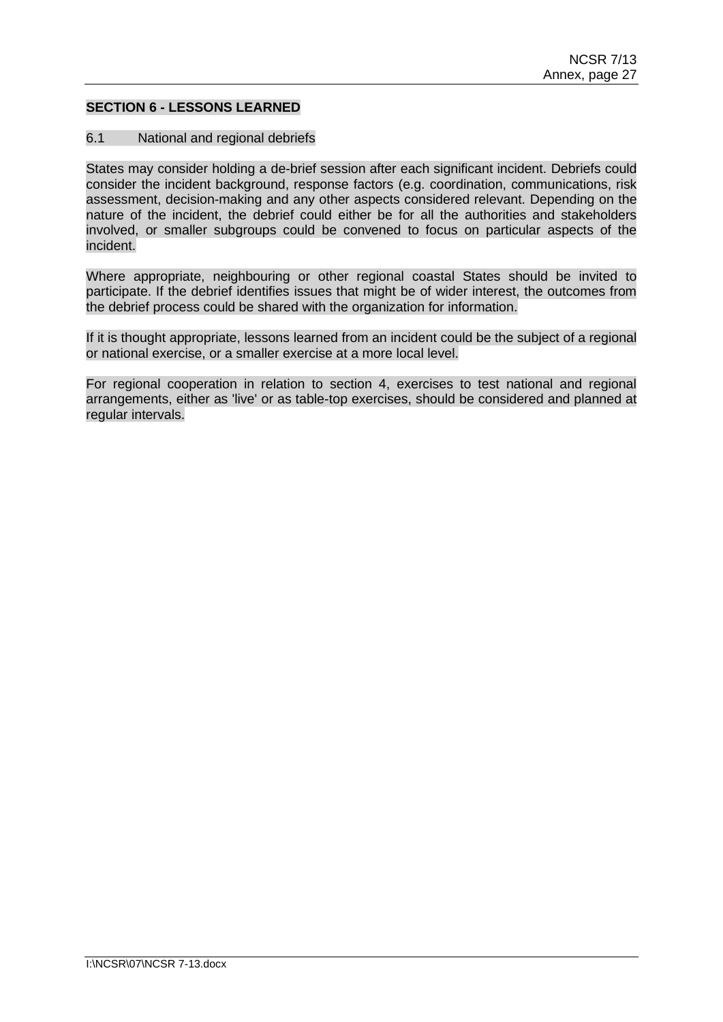### **SECTION 6 - LESSONS LEARNED**

#### 6.1 National and regional debriefs

States may consider holding a de-brief session after each significant incident. Debriefs could consider the incident background, response factors (e.g. coordination, communications, risk assessment, decision-making and any other aspects considered relevant. Depending on the nature of the incident, the debrief could either be for all the authorities and stakeholders involved, or smaller subgroups could be convened to focus on particular aspects of the incident.

Where appropriate, neighbouring or other regional coastal States should be invited to participate. If the debrief identifies issues that might be of wider interest, the outcomes from the debrief process could be shared with the organization for information.

If it is thought appropriate, lessons learned from an incident could be the subject of a regional or national exercise, or a smaller exercise at a more local level.

For regional cooperation in relation to section 4, exercises to test national and regional arrangements, either as 'live' or as table-top exercises, should be considered and planned at regular intervals.